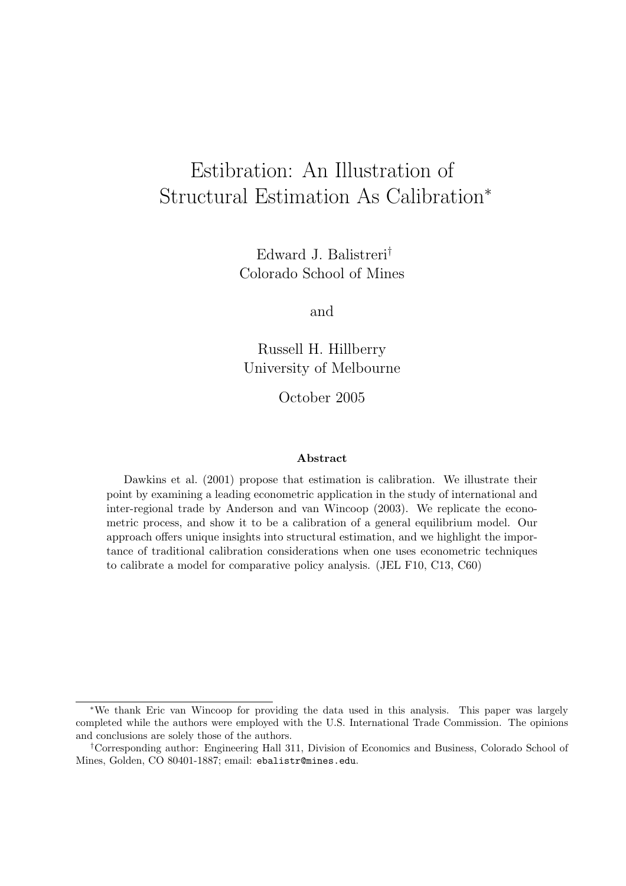# Estibration: An Illustration of Structural Estimation As Calibration<sup>∗</sup>

Edward J. Balistreri† Colorado School of Mines

and

Russell H. Hillberry University of Melbourne

October 2005

#### Abstract

Dawkins et al. (2001) propose that estimation is calibration. We illustrate their point by examining a leading econometric application in the study of international and inter-regional trade by Anderson and van Wincoop (2003). We replicate the econometric process, and show it to be a calibration of a general equilibrium model. Our approach offers unique insights into structural estimation, and we highlight the importance of traditional calibration considerations when one uses econometric techniques to calibrate a model for comparative policy analysis. (JEL F10, C13, C60)

<sup>∗</sup>We thank Eric van Wincoop for providing the data used in this analysis. This paper was largely completed while the authors were employed with the U.S. International Trade Commission. The opinions and conclusions are solely those of the authors.

<sup>†</sup>Corresponding author: Engineering Hall 311, Division of Economics and Business, Colorado School of Mines, Golden, CO 80401-1887; email: ebalistr@mines.edu.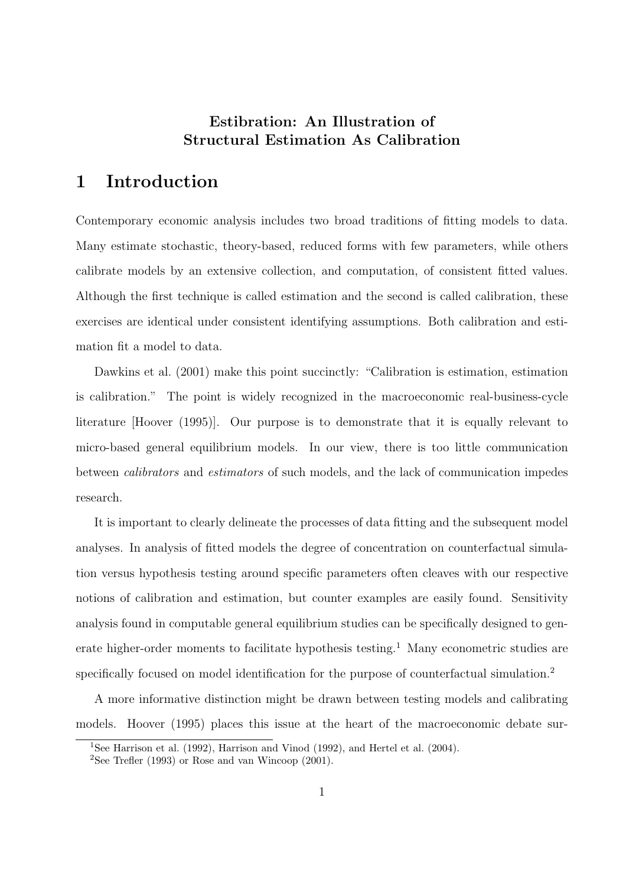## Estibration: An Illustration of Structural Estimation As Calibration

## 1 Introduction

Contemporary economic analysis includes two broad traditions of fitting models to data. Many estimate stochastic, theory-based, reduced forms with few parameters, while others calibrate models by an extensive collection, and computation, of consistent fitted values. Although the first technique is called estimation and the second is called calibration, these exercises are identical under consistent identifying assumptions. Both calibration and estimation fit a model to data.

Dawkins et al.  $(2001)$  make this point succinctly: "Calibration is estimation, estimation is calibration." The point is widely recognized in the macroeconomic real-business-cycle literature [Hoover (1995)]. Our purpose is to demonstrate that it is equally relevant to micro-based general equilibrium models. In our view, there is too little communication between calibrators and estimators of such models, and the lack of communication impedes research.

It is important to clearly delineate the processes of data fitting and the subsequent model analyses. In analysis of fitted models the degree of concentration on counterfactual simulation versus hypothesis testing around specific parameters often cleaves with our respective notions of calibration and estimation, but counter examples are easily found. Sensitivity analysis found in computable general equilibrium studies can be specifically designed to generate higher-order moments to facilitate hypothesis testing.<sup>1</sup> Many econometric studies are specifically focused on model identification for the purpose of counterfactual simulation.<sup>2</sup>

A more informative distinction might be drawn between testing models and calibrating models. Hoover (1995) places this issue at the heart of the macroeconomic debate sur-

<sup>&</sup>lt;sup>1</sup>See Harrison et al. (1992), Harrison and Vinod (1992), and Hertel et al. (2004).

<sup>&</sup>lt;sup>2</sup>See Trefler (1993) or Rose and van Wincoop (2001).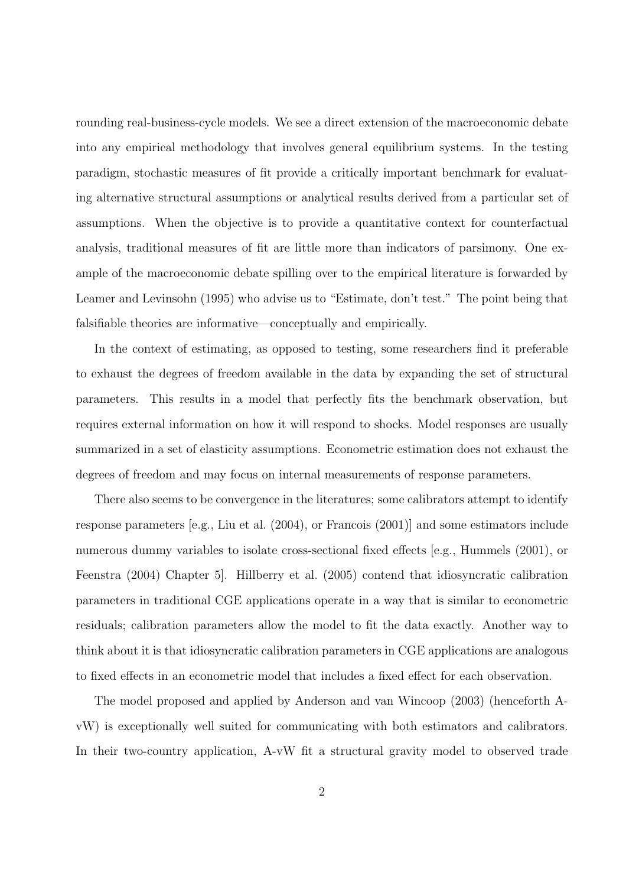rounding real-business-cycle models. We see a direct extension of the macroeconomic debate into any empirical methodology that involves general equilibrium systems. In the testing paradigm, stochastic measures of fit provide a critically important benchmark for evaluating alternative structural assumptions or analytical results derived from a particular set of assumptions. When the objective is to provide a quantitative context for counterfactual analysis, traditional measures of fit are little more than indicators of parsimony. One example of the macroeconomic debate spilling over to the empirical literature is forwarded by Leamer and Levinsohn (1995) who advise us to "Estimate, don't test." The point being that falsifiable theories are informative—conceptually and empirically.

In the context of estimating, as opposed to testing, some researchers find it preferable to exhaust the degrees of freedom available in the data by expanding the set of structural parameters. This results in a model that perfectly fits the benchmark observation, but requires external information on how it will respond to shocks. Model responses are usually summarized in a set of elasticity assumptions. Econometric estimation does not exhaust the degrees of freedom and may focus on internal measurements of response parameters.

There also seems to be convergence in the literatures; some calibrators attempt to identify response parameters [e.g., Liu et al. (2004), or Francois (2001)] and some estimators include numerous dummy variables to isolate cross-sectional fixed effects [e.g., Hummels (2001), or Feenstra (2004) Chapter 5]. Hillberry et al. (2005) contend that idiosyncratic calibration parameters in traditional CGE applications operate in a way that is similar to econometric residuals; calibration parameters allow the model to fit the data exactly. Another way to think about it is that idiosyncratic calibration parameters in CGE applications are analogous to fixed effects in an econometric model that includes a fixed effect for each observation.

The model proposed and applied by Anderson and van Wincoop (2003) (henceforth AvW) is exceptionally well suited for communicating with both estimators and calibrators. In their two-country application, A-vW fit a structural gravity model to observed trade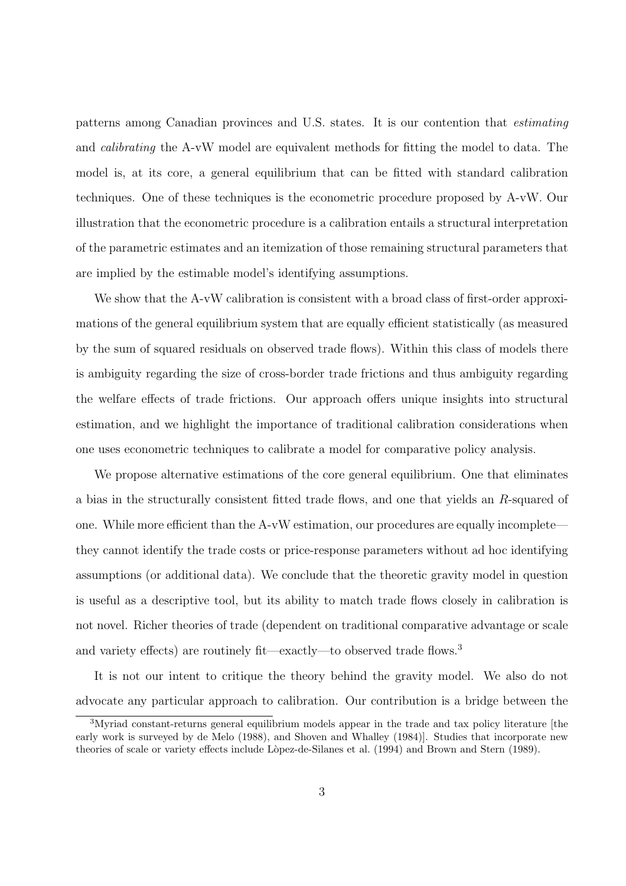patterns among Canadian provinces and U.S. states. It is our contention that estimating and calibrating the A-vW model are equivalent methods for fitting the model to data. The model is, at its core, a general equilibrium that can be fitted with standard calibration techniques. One of these techniques is the econometric procedure proposed by A-vW. Our illustration that the econometric procedure is a calibration entails a structural interpretation of the parametric estimates and an itemization of those remaining structural parameters that are implied by the estimable model's identifying assumptions.

We show that the A-vW calibration is consistent with a broad class of first-order approximations of the general equilibrium system that are equally efficient statistically (as measured by the sum of squared residuals on observed trade flows). Within this class of models there is ambiguity regarding the size of cross-border trade frictions and thus ambiguity regarding the welfare effects of trade frictions. Our approach offers unique insights into structural estimation, and we highlight the importance of traditional calibration considerations when one uses econometric techniques to calibrate a model for comparative policy analysis.

We propose alternative estimations of the core general equilibrium. One that eliminates a bias in the structurally consistent fitted trade flows, and one that yields an R-squared of one. While more efficient than the A-vW estimation, our procedures are equally incomplete they cannot identify the trade costs or price-response parameters without ad hoc identifying assumptions (or additional data). We conclude that the theoretic gravity model in question is useful as a descriptive tool, but its ability to match trade flows closely in calibration is not novel. Richer theories of trade (dependent on traditional comparative advantage or scale and variety effects) are routinely fit—exactly—to observed trade flows.<sup>3</sup>

It is not our intent to critique the theory behind the gravity model. We also do not advocate any particular approach to calibration. Our contribution is a bridge between the

<sup>&</sup>lt;sup>3</sup>Myriad constant-returns general equilibrium models appear in the trade and tax policy literature [the early work is surveyed by de Melo (1988), and Shoven and Whalley (1984)]. Studies that incorporate new theories of scale or variety effects include Lòpez-de-Silanes et al. (1994) and Brown and Stern (1989).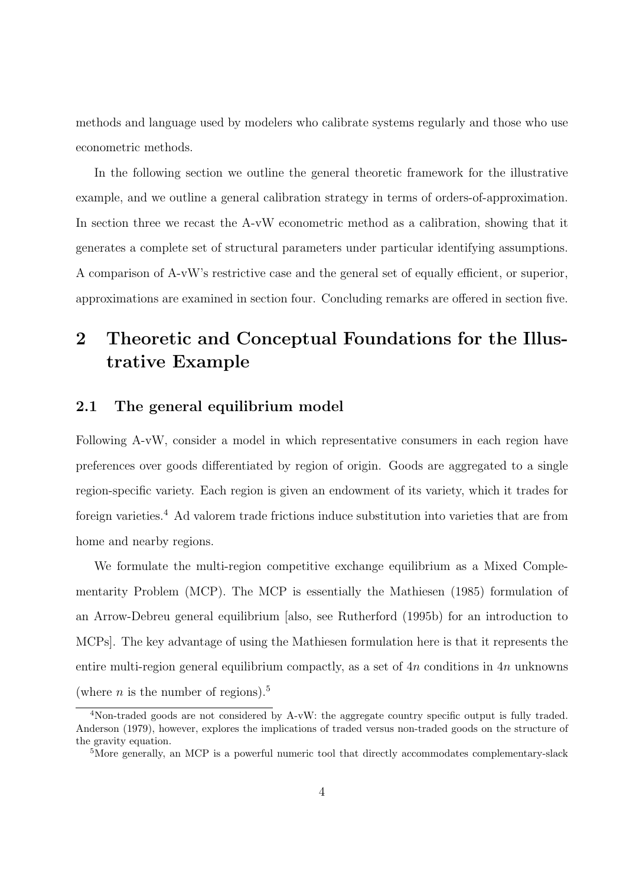methods and language used by modelers who calibrate systems regularly and those who use econometric methods.

In the following section we outline the general theoretic framework for the illustrative example, and we outline a general calibration strategy in terms of orders-of-approximation. In section three we recast the A-vW econometric method as a calibration, showing that it generates a complete set of structural parameters under particular identifying assumptions. A comparison of A-vW's restrictive case and the general set of equally efficient, or superior, approximations are examined in section four. Concluding remarks are offered in section five.

# 2 Theoretic and Conceptual Foundations for the Illustrative Example

### 2.1 The general equilibrium model

Following A-vW, consider a model in which representative consumers in each region have preferences over goods differentiated by region of origin. Goods are aggregated to a single region-specific variety. Each region is given an endowment of its variety, which it trades for foreign varieties.<sup>4</sup> Ad valorem trade frictions induce substitution into varieties that are from home and nearby regions.

We formulate the multi-region competitive exchange equilibrium as a Mixed Complementarity Problem (MCP). The MCP is essentially the Mathiesen (1985) formulation of an Arrow-Debreu general equilibrium [also, see Rutherford (1995b) for an introduction to MCPs]. The key advantage of using the Mathiesen formulation here is that it represents the entire multi-region general equilibrium compactly, as a set of  $4n$  conditions in  $4n$  unknowns (where *n* is the number of regions).<sup>5</sup>

<sup>&</sup>lt;sup>4</sup>Non-traded goods are not considered by A-vW: the aggregate country specific output is fully traded. Anderson (1979), however, explores the implications of traded versus non-traded goods on the structure of the gravity equation.

<sup>&</sup>lt;sup>5</sup>More generally, an MCP is a powerful numeric tool that directly accommodates complementary-slack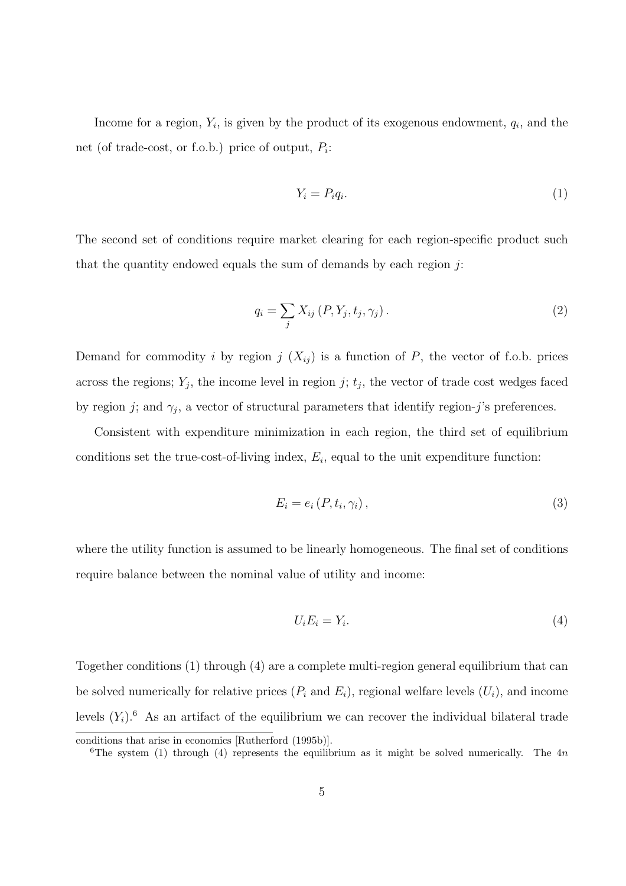Income for a region,  $Y_i$ , is given by the product of its exogenous endowment,  $q_i$ , and the net (of trade-cost, or f.o.b.) price of output,  $P_i$ :

$$
Y_i = P_i q_i. \tag{1}
$$

The second set of conditions require market clearing for each region-specific product such that the quantity endowed equals the sum of demands by each region  $j$ :

$$
q_i = \sum_j X_{ij} (P, Y_j, t_j, \gamma_j).
$$
 (2)

Demand for commodity i by region j  $(X_{ij})$  is a function of P, the vector of f.o.b. prices across the regions;  $Y_j$ , the income level in region j;  $t_j$ , the vector of trade cost wedges faced by region j; and  $\gamma_j$ , a vector of structural parameters that identify region-j's preferences.

Consistent with expenditure minimization in each region, the third set of equilibrium conditions set the true-cost-of-living index,  $E_i$ , equal to the unit expenditure function:

$$
E_i = e_i(P, t_i, \gamma_i), \tag{3}
$$

where the utility function is assumed to be linearly homogeneous. The final set of conditions require balance between the nominal value of utility and income:

$$
U_i E_i = Y_i. \tag{4}
$$

Together conditions (1) through (4) are a complete multi-region general equilibrium that can be solved numerically for relative prices  $(P_i \text{ and } E_i)$ , regional welfare levels  $(U_i)$ , and income levels  $(Y_i)$ .<sup>6</sup> As an artifact of the equilibrium we can recover the individual bilateral trade

conditions that arise in economics [Rutherford (1995b)].

<sup>&</sup>lt;sup>6</sup>The system (1) through (4) represents the equilibrium as it might be solved numerically. The 4n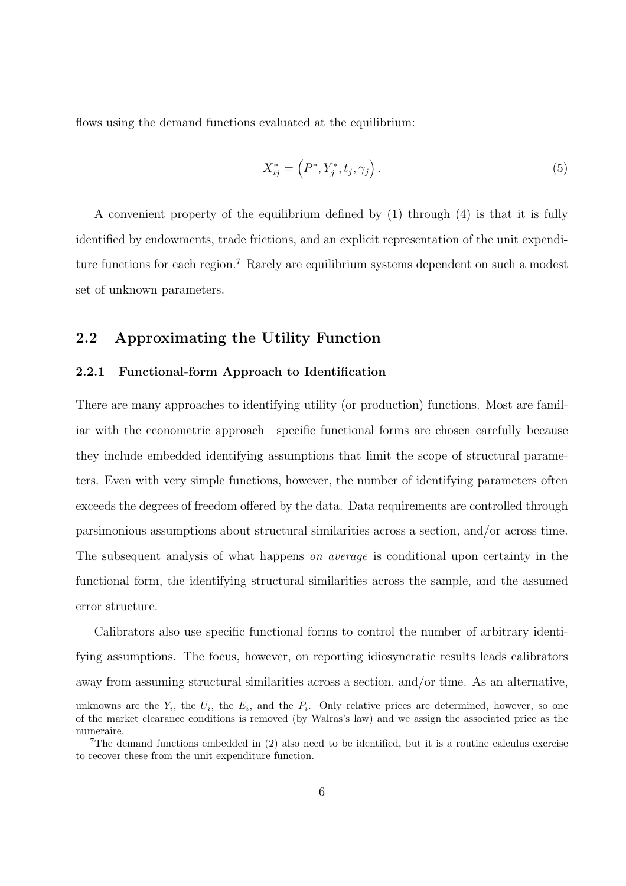flows using the demand functions evaluated at the equilibrium:

$$
X_{ij}^* = (P^*, Y_j^*, t_j, \gamma_j).
$$
 (5)

A convenient property of the equilibrium defined by (1) through (4) is that it is fully identified by endowments, trade frictions, and an explicit representation of the unit expenditure functions for each region.<sup>7</sup> Rarely are equilibrium systems dependent on such a modest set of unknown parameters.

### 2.2 Approximating the Utility Function

#### 2.2.1 Functional-form Approach to Identification

There are many approaches to identifying utility (or production) functions. Most are familiar with the econometric approach—specific functional forms are chosen carefully because they include embedded identifying assumptions that limit the scope of structural parameters. Even with very simple functions, however, the number of identifying parameters often exceeds the degrees of freedom offered by the data. Data requirements are controlled through parsimonious assumptions about structural similarities across a section, and/or across time. The subsequent analysis of what happens *on average* is conditional upon certainty in the functional form, the identifying structural similarities across the sample, and the assumed error structure.

Calibrators also use specific functional forms to control the number of arbitrary identifying assumptions. The focus, however, on reporting idiosyncratic results leads calibrators away from assuming structural similarities across a section, and/or time. As an alternative,

unknowns are the  $Y_i$ , the  $U_i$ , the  $E_i$ , and the  $P_i$ . Only relative prices are determined, however, so one of the market clearance conditions is removed (by Walras's law) and we assign the associated price as the numeraire.

<sup>7</sup>The demand functions embedded in (2) also need to be identified, but it is a routine calculus exercise to recover these from the unit expenditure function.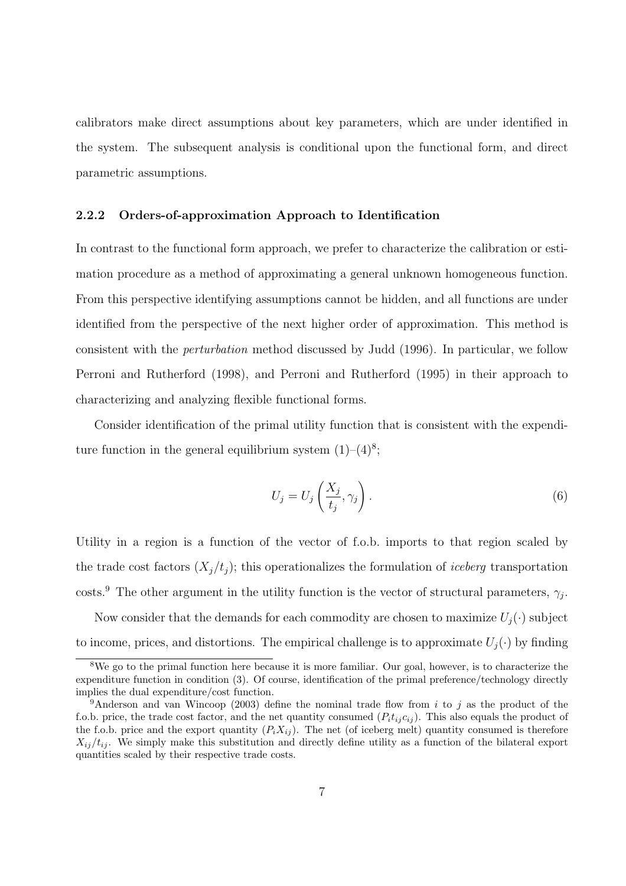calibrators make direct assumptions about key parameters, which are under identified in the system. The subsequent analysis is conditional upon the functional form, and direct parametric assumptions.

#### 2.2.2 Orders-of-approximation Approach to Identification

In contrast to the functional form approach, we prefer to characterize the calibration or estimation procedure as a method of approximating a general unknown homogeneous function. From this perspective identifying assumptions cannot be hidden, and all functions are under identified from the perspective of the next higher order of approximation. This method is consistent with the perturbation method discussed by Judd (1996). In particular, we follow Perroni and Rutherford (1998), and Perroni and Rutherford (1995) in their approach to characterizing and analyzing flexible functional forms.

Consider identification of the primal utility function that is consistent with the expenditure function in the general equilibrium system  $(1)-(4)^8$ ;

$$
U_j = U_j \left( \frac{X_j}{t_j}, \gamma_j \right). \tag{6}
$$

Utility in a region is a function of the vector of f.o.b. imports to that region scaled by the trade cost factors  $(X_i/t_i)$ ; this operationalizes the formulation of *iceberg* transportation costs.<sup>9</sup> The other argument in the utility function is the vector of structural parameters,  $\gamma_j$ .

Now consider that the demands for each commodity are chosen to maximize  $U_i(\cdot)$  subject to income, prices, and distortions. The empirical challenge is to approximate  $U_i(\cdot)$  by finding

<sup>&</sup>lt;sup>8</sup>We go to the primal function here because it is more familiar. Our goal, however, is to characterize the expenditure function in condition (3). Of course, identification of the primal preference/technology directly implies the dual expenditure/cost function.

<sup>&</sup>lt;sup>9</sup>Anderson and van Wincoop (2003) define the nominal trade flow from i to j as the product of the f.o.b. price, the trade cost factor, and the net quantity consumed  $(P_i t_i c_{ij})$ . This also equals the product of the f.o.b. price and the export quantity  $(P_i X_{ij})$ . The net (of iceberg melt) quantity consumed is therefore  $X_{ij}/t_{ij}$ . We simply make this substitution and directly define utility as a function of the bilateral export quantities scaled by their respective trade costs.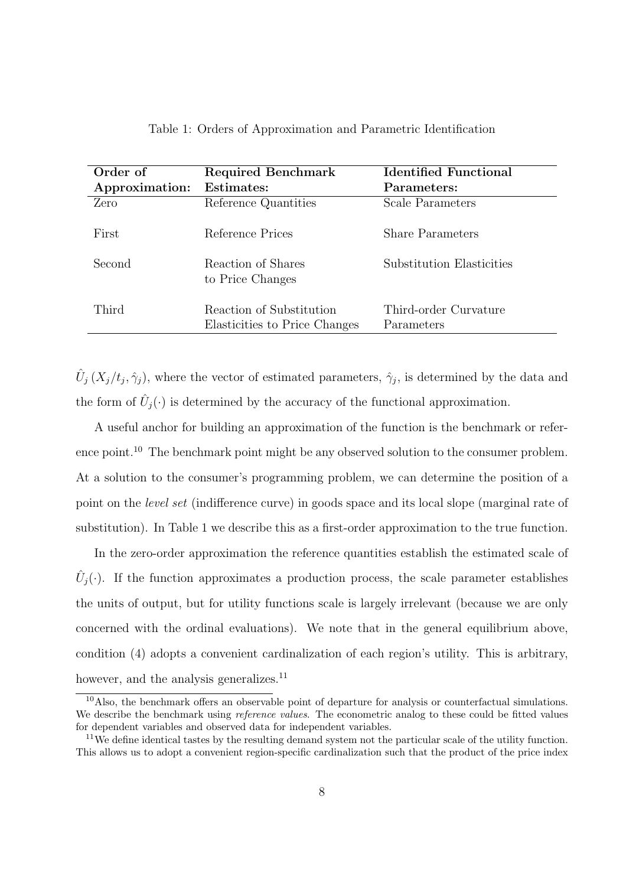| Order of       | <b>Required Benchmark</b>                                 | <b>Identified Functional</b>        |
|----------------|-----------------------------------------------------------|-------------------------------------|
| Approximation: | Estimates:                                                | Parameters:                         |
| Zero           | Reference Quantities                                      | Scale Parameters                    |
| First          | Reference Prices                                          | <b>Share Parameters</b>             |
| Second         | Reaction of Shares<br>to Price Changes                    | Substitution Elasticities           |
| Third          | Reaction of Substitution<br>Elasticities to Price Changes | Third-order Curvature<br>Parameters |

|  |  |  | Table 1: Orders of Approximation and Parametric Identification |  |  |  |
|--|--|--|----------------------------------------------------------------|--|--|--|
|--|--|--|----------------------------------------------------------------|--|--|--|

 $\hat{U}_j(X_j/t_j,\hat{\gamma}_j)$ , where the vector of estimated parameters,  $\hat{\gamma}_j$ , is determined by the data and the form of  $\hat{U}_j(\cdot)$  is determined by the accuracy of the functional approximation.

A useful anchor for building an approximation of the function is the benchmark or reference point.<sup>10</sup> The benchmark point might be any observed solution to the consumer problem. At a solution to the consumer's programming problem, we can determine the position of a point on the level set (indifference curve) in goods space and its local slope (marginal rate of substitution). In Table 1 we describe this as a first-order approximation to the true function.

In the zero-order approximation the reference quantities establish the estimated scale of  $\hat{U}_j(\cdot)$ . If the function approximates a production process, the scale parameter establishes the units of output, but for utility functions scale is largely irrelevant (because we are only concerned with the ordinal evaluations). We note that in the general equilibrium above, condition (4) adopts a convenient cardinalization of each region's utility. This is arbitrary, however, and the analysis generalizes.<sup>11</sup>

<sup>&</sup>lt;sup>10</sup>Also, the benchmark offers an observable point of departure for analysis or counterfactual simulations. We describe the benchmark using *reference values*. The econometric analog to these could be fitted values for dependent variables and observed data for independent variables.

<sup>&</sup>lt;sup>11</sup>We define identical tastes by the resulting demand system not the particular scale of the utility function. This allows us to adopt a convenient region-specific cardinalization such that the product of the price index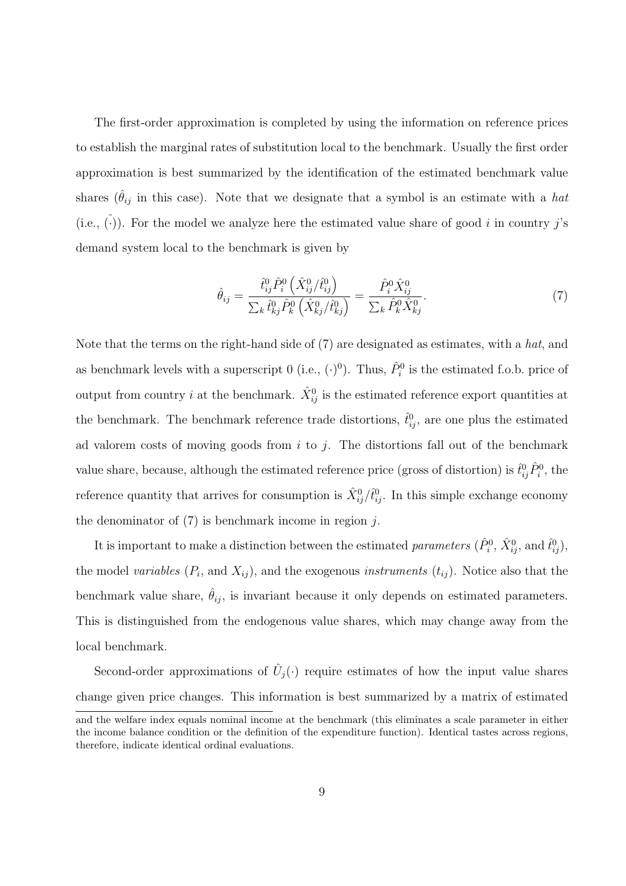The first-order approximation is completed by using the information on reference prices to establish the marginal rates of substitution local to the benchmark. Usually the first order approximation is best summarized by the identification of the estimated benchmark value shares ( $\hat{\theta}_{ij}$  in this case). Note that we designate that a symbol is an estimate with a *hat* (i.e.,  $(\cdot)$ ). For the model we analyze here the estimated value share of good i in country j's demand system local to the benchmark is given by

$$
\hat{\theta}_{ij} = \frac{\hat{t}_{ij}^0 \hat{P}_i^0 \left( \hat{X}_{ij}^0 / \hat{t}_{ij}^0 \right)}{\sum_k \hat{t}_{kj}^0 \hat{P}_k^0 \left( \hat{X}_{kj}^0 / \hat{t}_{kj}^0 \right)} = \frac{\hat{P}_i^0 \hat{X}_{ij}^0}{\sum_k \hat{P}_k^0 \hat{X}_{kj}^0}.
$$
\n(7)

Note that the terms on the right-hand side of  $(7)$  are designated as estimates, with a hat, and as benchmark levels with a superscript 0 (i.e.,  $(\cdot)^0$ ). Thus,  $\hat{P}_i^0$  is the estimated f.o.b. price of output from country *i* at the benchmark.  $\hat{X}_{ij}^0$  is the estimated reference export quantities at the benchmark. The benchmark reference trade distortions,  $\hat{t}_{ij}^0$ , are one plus the estimated ad valorem costs of moving goods from  $i$  to  $j$ . The distortions fall out of the benchmark value share, because, although the estimated reference price (gross of distortion) is  $\hat{t}_{ij}^0 \hat{P}_i^0$ , the reference quantity that arrives for consumption is  $\hat{X}_{ij}^0/\hat{t}_{ij}^0$ . In this simple exchange economy the denominator of  $(7)$  is benchmark income in region j.

It is important to make a distinction between the estimated *parameters*  $(\hat{P}_i^0, \hat{X}_{ij}^0, \text{and } \hat{t}_{ij}^0)$ , the model variables  $(P_i)$ , and  $X_{ij}$ , and the exogenous instruments  $(t_{ij})$ . Notice also that the benchmark value share,  $\hat{\theta}_{ij}$ , is invariant because it only depends on estimated parameters. This is distinguished from the endogenous value shares, which may change away from the local benchmark.

Second-order approximations of  $\hat{U}_j(\cdot)$  require estimates of how the input value shares change given price changes. This information is best summarized by a matrix of estimated

and the welfare index equals nominal income at the benchmark (this eliminates a scale parameter in either the income balance condition or the definition of the expenditure function). Identical tastes across regions, therefore, indicate identical ordinal evaluations.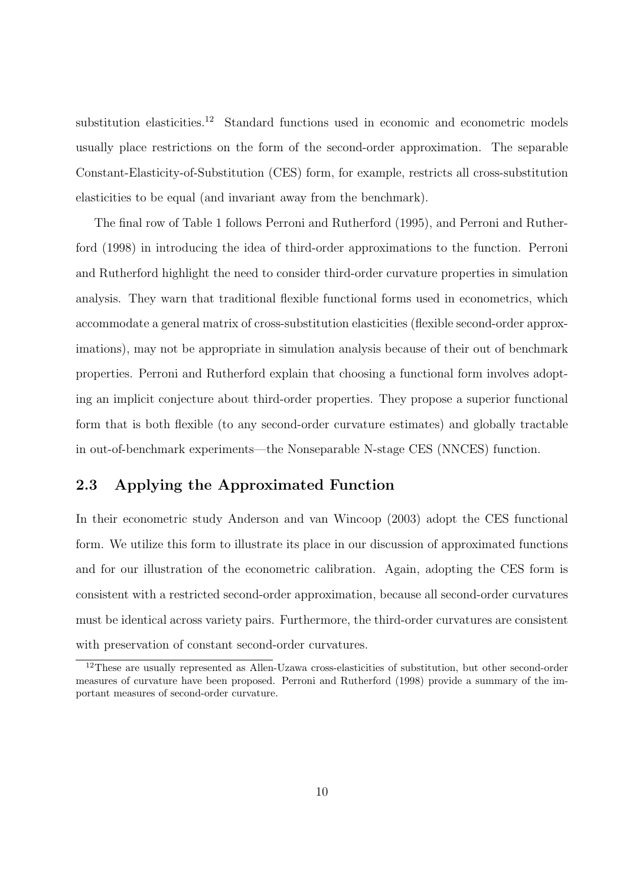substitution elasticities.<sup>12</sup> Standard functions used in economic and econometric models usually place restrictions on the form of the second-order approximation. The separable Constant-Elasticity-of-Substitution (CES) form, for example, restricts all cross-substitution elasticities to be equal (and invariant away from the benchmark).

The final row of Table 1 follows Perroni and Rutherford (1995), and Perroni and Rutherford (1998) in introducing the idea of third-order approximations to the function. Perroni and Rutherford highlight the need to consider third-order curvature properties in simulation analysis. They warn that traditional flexible functional forms used in econometrics, which accommodate a general matrix of cross-substitution elasticities (flexible second-order approximations), may not be appropriate in simulation analysis because of their out of benchmark properties. Perroni and Rutherford explain that choosing a functional form involves adopting an implicit conjecture about third-order properties. They propose a superior functional form that is both flexible (to any second-order curvature estimates) and globally tractable in out-of-benchmark experiments—the Nonseparable N-stage CES (NNCES) function.

### 2.3 Applying the Approximated Function

In their econometric study Anderson and van Wincoop (2003) adopt the CES functional form. We utilize this form to illustrate its place in our discussion of approximated functions and for our illustration of the econometric calibration. Again, adopting the CES form is consistent with a restricted second-order approximation, because all second-order curvatures must be identical across variety pairs. Furthermore, the third-order curvatures are consistent with preservation of constant second-order curvatures.

<sup>&</sup>lt;sup>12</sup>These are usually represented as Allen-Uzawa cross-elasticities of substitution, but other second-order measures of curvature have been proposed. Perroni and Rutherford (1998) provide a summary of the important measures of second-order curvature.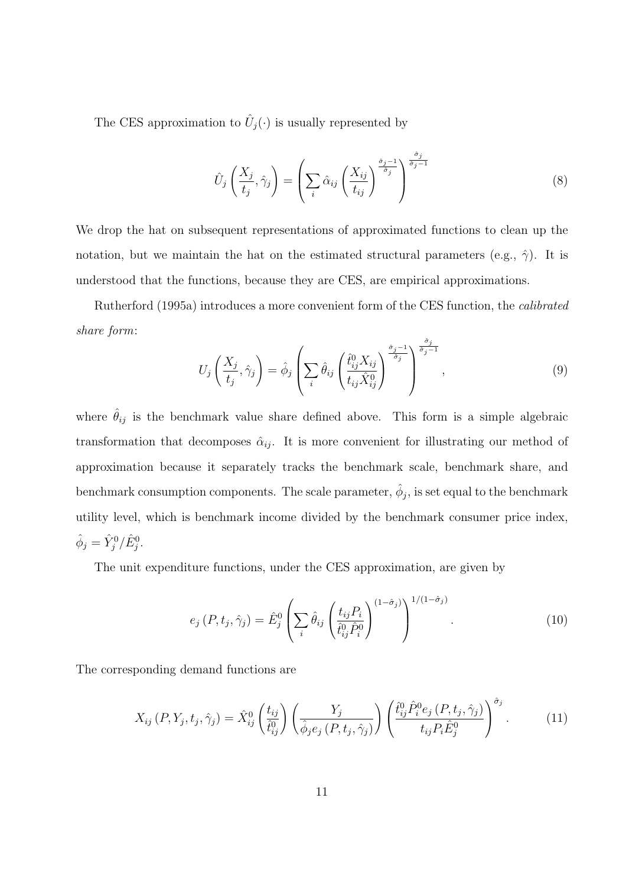The CES approximation to  $\hat{U}_j(\cdot)$  is usually represented by

$$
\hat{U}_j\left(\frac{X_j}{t_j},\hat{\gamma}_j\right) = \left(\sum_i \hat{\alpha}_{ij}\left(\frac{X_{ij}}{t_{ij}}\right)^{\frac{\hat{\sigma}_j-1}{\hat{\sigma}_j}}\right)^{\frac{\hat{\sigma}_j}{\hat{\sigma}_j-1}}
$$
\n(8)

We drop the hat on subsequent representations of approximated functions to clean up the notation, but we maintain the hat on the estimated structural parameters (e.g.,  $\hat{\gamma}$ ). It is understood that the functions, because they are CES, are empirical approximations.

Rutherford (1995a) introduces a more convenient form of the CES function, the calibrated share form:  $\hat{\sigma}_j$ 

$$
U_j\left(\frac{X_j}{t_j},\hat{\gamma}_j\right) = \hat{\phi}_j\left(\sum_i \hat{\theta}_{ij}\left(\frac{\hat{t}_{ij}^0 X_{ij}}{t_{ij}\hat{X}_{ij}^0}\right)^{\frac{\hat{\sigma}_j-1}{\hat{\sigma}_j}}\right)^{\frac{\hat{\sigma}_j}{\hat{\sigma}_j-1}},\tag{9}
$$

where  $\hat{\theta}_{ij}$  is the benchmark value share defined above. This form is a simple algebraic transformation that decomposes  $\hat{\alpha}_{ij}$ . It is more convenient for illustrating our method of approximation because it separately tracks the benchmark scale, benchmark share, and benchmark consumption components. The scale parameter,  $\hat{\phi}_j$ , is set equal to the benchmark utility level, which is benchmark income divided by the benchmark consumer price index,  $\hat{\phi}_j = \hat{Y}_j^0 / \hat{E}_j^0.$ 

The unit expenditure functions, under the CES approximation, are given by

$$
e_j(P, t_j, \hat{\gamma}_j) = \hat{E}_j^0 \left( \sum_i \hat{\theta}_{ij} \left( \frac{t_{ij} P_i}{\hat{t}_{ij}^0 \hat{P}_i^0} \right)^{(1-\hat{\sigma}_j)} \right)^{1/(1-\hat{\sigma}_j)}.
$$
\n(10)

The corresponding demand functions are

$$
X_{ij}(P,Y_j,t_j,\hat{\gamma}_j) = \hat{X}_{ij}^0\left(\frac{t_{ij}}{\hat{t}_{ij}^0}\right)\left(\frac{Y_j}{\hat{\phi}_je_j(P,t_j,\hat{\gamma}_j)}\right)\left(\frac{\hat{t}_{ij}^0\hat{P}_i^0e_j(P,t_j,\hat{\gamma}_j)}{t_{ij}P_i\hat{E}_j^0}\right)^{\hat{\sigma}_j}.
$$
(11)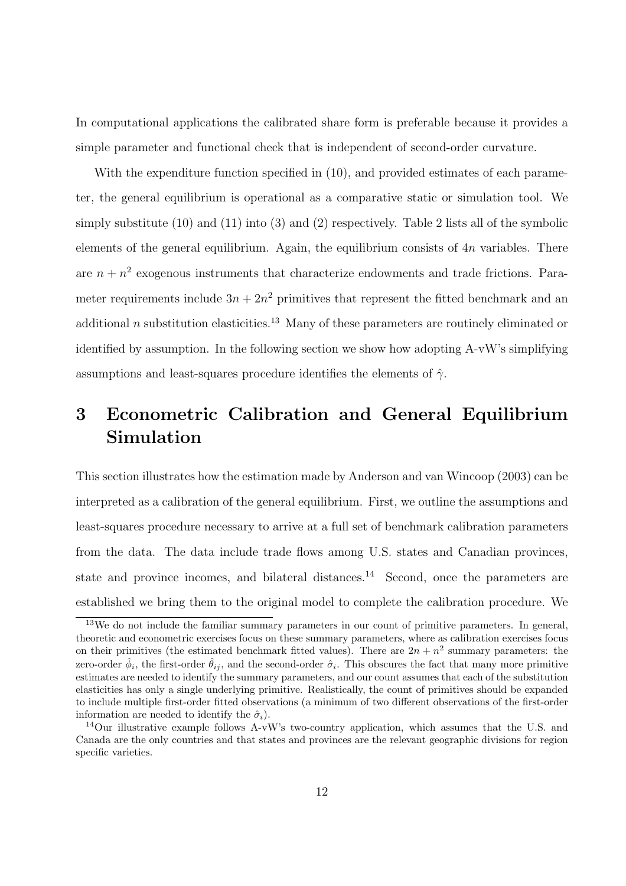In computational applications the calibrated share form is preferable because it provides a simple parameter and functional check that is independent of second-order curvature.

With the expenditure function specified in  $(10)$ , and provided estimates of each parameter, the general equilibrium is operational as a comparative static or simulation tool. We simply substitute (10) and (11) into (3) and (2) respectively. Table 2 lists all of the symbolic elements of the general equilibrium. Again, the equilibrium consists of  $4n$  variables. There are  $n + n^2$  exogenous instruments that characterize endowments and trade frictions. Parameter requirements include  $3n + 2n^2$  primitives that represent the fitted benchmark and an additional n substitution elasticities.<sup>13</sup> Many of these parameters are routinely eliminated or identified by assumption. In the following section we show how adopting A-vW's simplifying assumptions and least-squares procedure identifies the elements of  $\hat{\gamma}$ .

# 3 Econometric Calibration and General Equilibrium Simulation

This section illustrates how the estimation made by Anderson and van Wincoop (2003) can be interpreted as a calibration of the general equilibrium. First, we outline the assumptions and least-squares procedure necessary to arrive at a full set of benchmark calibration parameters from the data. The data include trade flows among U.S. states and Canadian provinces, state and province incomes, and bilateral distances.<sup>14</sup> Second, once the parameters are established we bring them to the original model to complete the calibration procedure. We

 $13$ We do not include the familiar summary parameters in our count of primitive parameters. In general, theoretic and econometric exercises focus on these summary parameters, where as calibration exercises focus on their primitives (the estimated benchmark fitted values). There are  $2n + n^2$  summary parameters: the zero-order  $\hat{\phi}_i$ , the first-order  $\hat{\theta}_{ij}$ , and the second-order  $\hat{\sigma}_i$ . This obscures the fact that many more primitive estimates are needed to identify the summary parameters, and our count assumes that each of the substitution elasticities has only a single underlying primitive. Realistically, the count of primitives should be expanded to include multiple first-order fitted observations (a minimum of two different observations of the first-order information are needed to identify the  $\hat{\sigma}_i$ ).

<sup>&</sup>lt;sup>14</sup>Our illustrative example follows A-vW's two-country application, which assumes that the U.S. and Canada are the only countries and that states and provinces are the relevant geographic divisions for region specific varieties.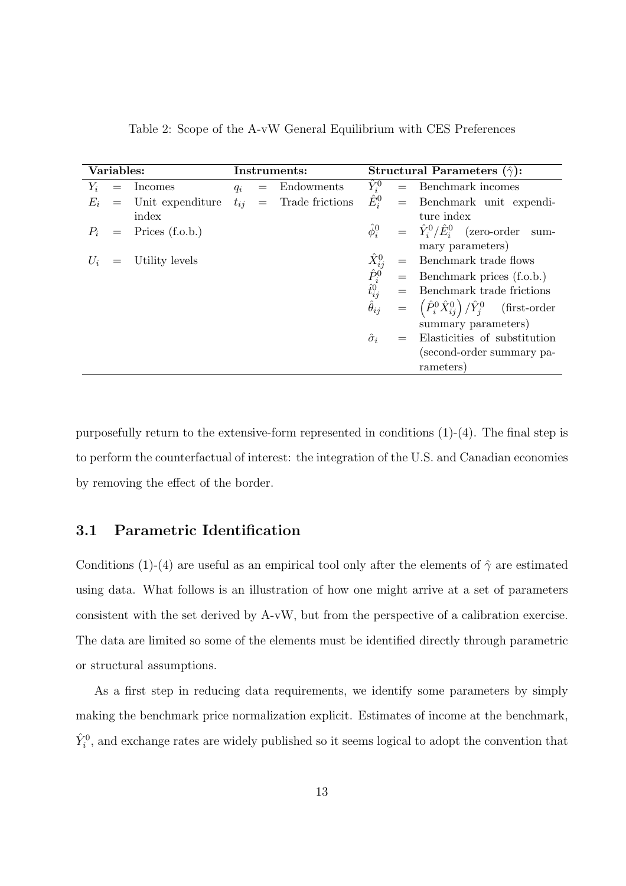| Variables: |  | Instruments:            |       |            | Structural Parameters $(\hat{\gamma})$ : |                                                   |                                                                              |                                                 |  |
|------------|--|-------------------------|-------|------------|------------------------------------------|---------------------------------------------------|------------------------------------------------------------------------------|-------------------------------------------------|--|
| $Y_i$      |  | $=$ Incomes             | $q_i$ | $=$        | Endowments                               | $\hat{Y}_i^0$                                     |                                                                              | $=$ Benchmark incomes                           |  |
| $E_i$      |  | $=$ Unit expenditure    |       | $t_{ij} =$ | Trade frictions                          | $\hat{E}^0_i$                                     |                                                                              | $=$ Benchmark unit expendi-                     |  |
|            |  | index                   |       |            |                                          |                                                   |                                                                              | ture index                                      |  |
|            |  | $P_i$ = Prices (f.o.b.) |       |            |                                          | $\hat{\phi}_i^0$                                  |                                                                              | $= \hat{Y}_i^0/\hat{E}_i^0$ (zero-order<br>sum- |  |
|            |  |                         |       |            |                                          |                                                   |                                                                              | mary parameters)                                |  |
|            |  | $=$ Utility levels      |       |            |                                          | $\hat{X}^0_{ij} \\ \hat{P}^0_i \\ \hat{t}^0_{ij}$ | $=$                                                                          | Benchmark trade flows                           |  |
|            |  |                         |       |            |                                          |                                                   | $=$                                                                          | Benchmark prices (f.o.b.)                       |  |
|            |  |                         |       |            |                                          |                                                   | Benchmark trade frictions                                                    |                                                 |  |
|            |  |                         |       |            |                                          | $\ddot{\theta}_{ij}$                              | $= \left( \hat{P}_i^0 \hat{X}_{ij}^0 \right) / \hat{Y}_j^0$<br>(first-order) |                                                 |  |
|            |  |                         |       |            |                                          | summary parameters)                               |                                                                              |                                                 |  |
|            |  |                         |       |            |                                          | $\hat{\sigma}_i$                                  |                                                                              | Elasticities of substitution                    |  |
|            |  |                         |       |            |                                          | (second-order summary pa-                         |                                                                              |                                                 |  |
|            |  |                         |       |            |                                          |                                                   |                                                                              | rameters)                                       |  |

Table 2: Scope of the A-vW General Equilibrium with CES Preferences

purposefully return to the extensive-form represented in conditions (1)-(4). The final step is to perform the counterfactual of interest: the integration of the U.S. and Canadian economies by removing the effect of the border.

### 3.1 Parametric Identification

Conditions (1)-(4) are useful as an empirical tool only after the elements of  $\hat{\gamma}$  are estimated using data. What follows is an illustration of how one might arrive at a set of parameters consistent with the set derived by A-vW, but from the perspective of a calibration exercise. The data are limited so some of the elements must be identified directly through parametric or structural assumptions.

As a first step in reducing data requirements, we identify some parameters by simply making the benchmark price normalization explicit. Estimates of income at the benchmark,  $\hat{Y}_{i}^{0}$ , and exchange rates are widely published so it seems logical to adopt the convention that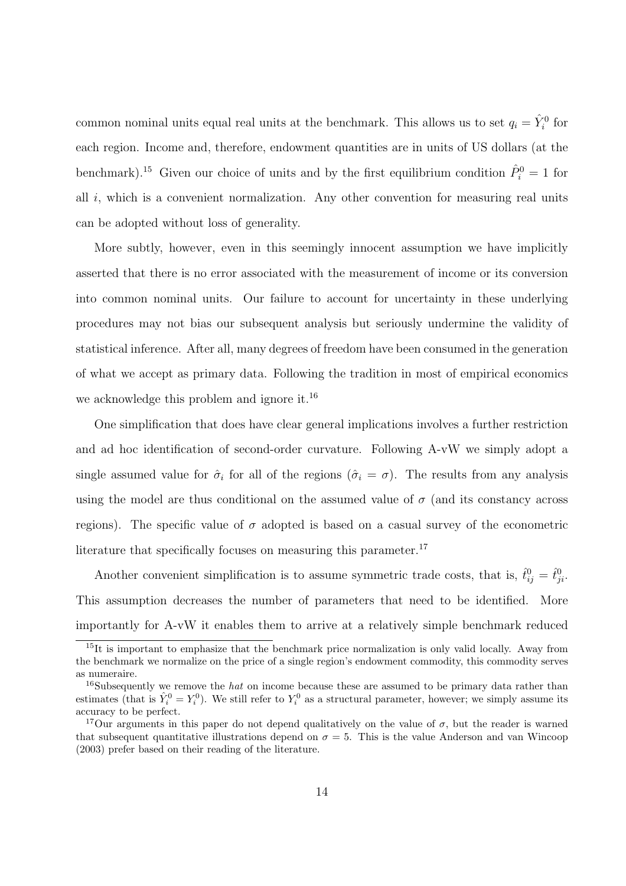common nominal units equal real units at the benchmark. This allows us to set  $q_i = \hat{Y}_i^0$  for each region. Income and, therefore, endowment quantities are in units of US dollars (at the benchmark).<sup>15</sup> Given our choice of units and by the first equilibrium condition  $\hat{P}_i^0 = 1$  for all  $i$ , which is a convenient normalization. Any other convention for measuring real units can be adopted without loss of generality.

More subtly, however, even in this seemingly innocent assumption we have implicitly asserted that there is no error associated with the measurement of income or its conversion into common nominal units. Our failure to account for uncertainty in these underlying procedures may not bias our subsequent analysis but seriously undermine the validity of statistical inference. After all, many degrees of freedom have been consumed in the generation of what we accept as primary data. Following the tradition in most of empirical economics we acknowledge this problem and ignore it.<sup>16</sup>

One simplification that does have clear general implications involves a further restriction and ad hoc identification of second-order curvature. Following A-vW we simply adopt a single assumed value for  $\hat{\sigma}_i$  for all of the regions  $(\hat{\sigma}_i = \sigma)$ . The results from any analysis using the model are thus conditional on the assumed value of  $\sigma$  (and its constancy across regions). The specific value of  $\sigma$  adopted is based on a casual survey of the econometric literature that specifically focuses on measuring this parameter.<sup>17</sup>

Another convenient simplification is to assume symmetric trade costs, that is,  $\hat{t}_{ij}^0 = \hat{t}_{ji}^0$ . This assumption decreases the number of parameters that need to be identified. More importantly for A-vW it enables them to arrive at a relatively simple benchmark reduced

 $15$ It is important to emphasize that the benchmark price normalization is only valid locally. Away from the benchmark we normalize on the price of a single region's endowment commodity, this commodity serves as numeraire.

<sup>&</sup>lt;sup>16</sup>Subsequently we remove the *hat* on income because these are assumed to be primary data rather than estimates (that is  $\hat{Y}_i^0 = Y_i^0$ ). We still refer to  $Y_i^0$  as a structural parameter, however; we simply assume its accuracy to be perfect.

<sup>&</sup>lt;sup>17</sup>Our arguments in this paper do not depend qualitatively on the value of  $\sigma$ , but the reader is warned that subsequent quantitative illustrations depend on  $\sigma = 5$ . This is the value Anderson and van Wincoop (2003) prefer based on their reading of the literature.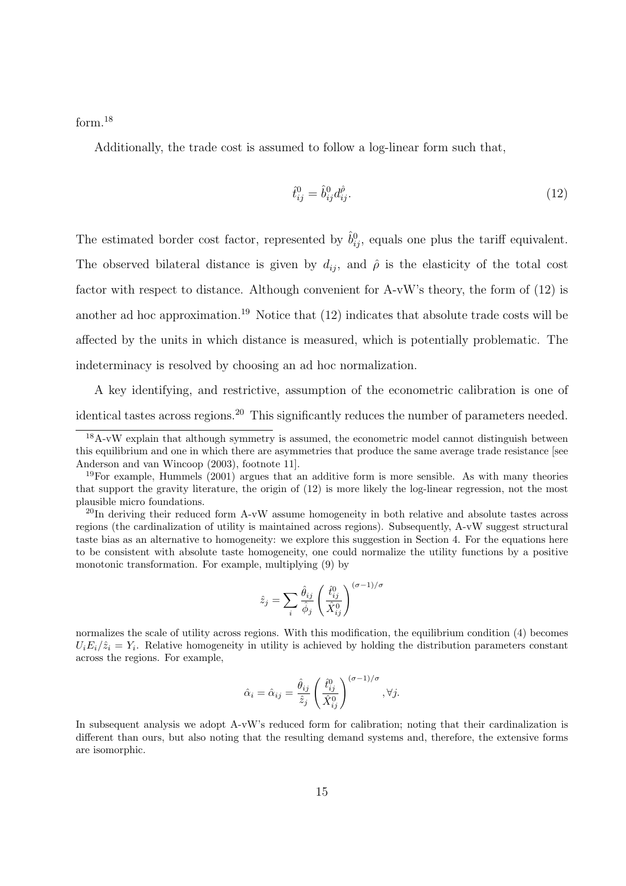form.<sup>18</sup>

Additionally, the trade cost is assumed to follow a log-linear form such that,

$$
\hat{t}_{ij}^0 = \hat{b}_{ij}^0 d_{ij}^{\hat{\rho}}.\tag{12}
$$

The estimated border cost factor, represented by  $\hat{b}_{ij}^0$ , equals one plus the tariff equivalent. The observed bilateral distance is given by  $d_{ij}$ , and  $\hat{\rho}$  is the elasticity of the total cost factor with respect to distance. Although convenient for A-vW's theory, the form of (12) is another ad hoc approximation.<sup>19</sup> Notice that  $(12)$  indicates that absolute trade costs will be affected by the units in which distance is measured, which is potentially problematic. The indeterminacy is resolved by choosing an ad hoc normalization.

A key identifying, and restrictive, assumption of the econometric calibration is one of identical tastes across regions.<sup>20</sup> This significantly reduces the number of parameters needed.

<sup>20</sup>In deriving their reduced form A-vW assume homogeneity in both relative and absolute tastes across regions (the cardinalization of utility is maintained across regions). Subsequently, A-vW suggest structural taste bias as an alternative to homogeneity: we explore this suggestion in Section 4. For the equations here to be consistent with absolute taste homogeneity, one could normalize the utility functions by a positive monotonic transformation. For example, multiplying (9) by

$$
\hat{z}_j = \sum_i \frac{\hat{\theta}_{ij}}{\hat{\phi}_j} \left(\frac{\hat{t}_{ij}^0}{\hat{X}_{ij}^0}\right)^{(\sigma - 1)/\sigma}
$$

normalizes the scale of utility across regions. With this modification, the equilibrium condition (4) becomes  $U_i E_i/\hat{z}_i = Y_i$ . Relative homogeneity in utility is achieved by holding the distribution parameters constant across the regions. For example,

$$
\hat{\alpha}_i = \hat{\alpha}_{ij} = \frac{\hat{\theta}_{ij}}{\hat{z}_j} \left( \frac{\hat{t}_{ij}^0}{\hat{X}_{ij}^0} \right)^{(\sigma - 1)/\sigma}, \forall j.
$$

In subsequent analysis we adopt A-vW's reduced form for calibration; noting that their cardinalization is different than ours, but also noting that the resulting demand systems and, therefore, the extensive forms are isomorphic.

 $18A-vW$  explain that although symmetry is assumed, the econometric model cannot distinguish between this equilibrium and one in which there are asymmetries that produce the same average trade resistance [see Anderson and van Wincoop (2003), footnote 11].

<sup>19</sup>For example, Hummels (2001) argues that an additive form is more sensible. As with many theories that support the gravity literature, the origin of (12) is more likely the log-linear regression, not the most plausible micro foundations.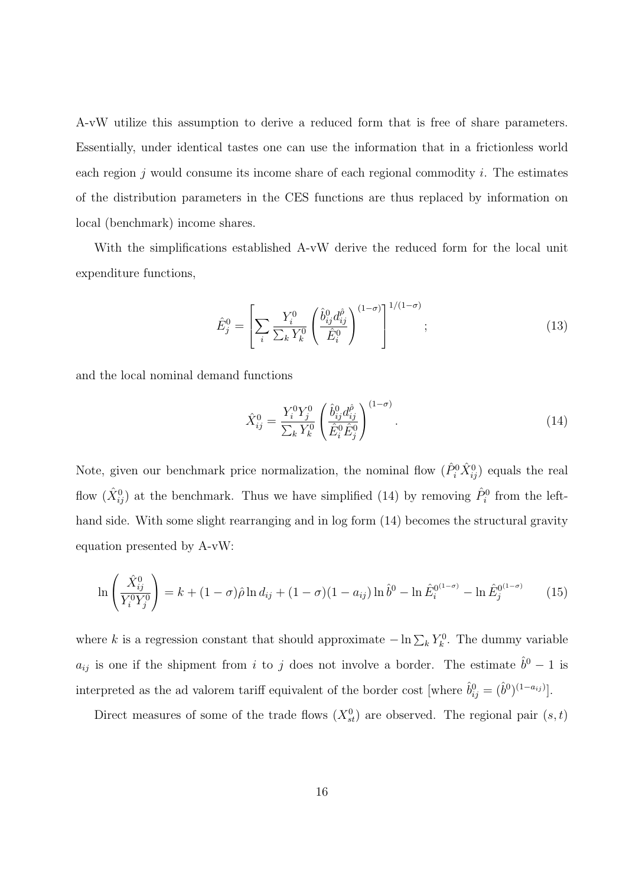A-vW utilize this assumption to derive a reduced form that is free of share parameters. Essentially, under identical tastes one can use the information that in a frictionless world each region  $j$  would consume its income share of each regional commodity  $i$ . The estimates of the distribution parameters in the CES functions are thus replaced by information on local (benchmark) income shares.

With the simplifications established A-vW derive the reduced form for the local unit expenditure functions,

$$
\hat{E}_j^0 = \left[ \sum_i \frac{Y_i^0}{\sum_k Y_k^0} \left( \frac{\hat{b}_{ij}^0 d_{ij}^{\hat{\rho}}}{\hat{E}_i^0} \right)^{(1-\sigma)} \right]^{1/(1-\sigma)}; \tag{13}
$$

and the local nominal demand functions

$$
\hat{X}_{ij}^{0} = \frac{Y_i^0 Y_j^0}{\sum_k Y_k^0} \left( \frac{\hat{b}_{ij}^0 d_{ij}^{\hat{\rho}}}{\hat{E}_i^0 \hat{E}_j^0} \right)^{(1-\sigma)}.
$$
\n(14)

Note, given our benchmark price normalization, the nominal flow  $(\hat{P}_i^0 \hat{X}_{ij}^0)$  equals the real flow  $(\hat{X}_{ij}^0)$  at the benchmark. Thus we have simplified (14) by removing  $\hat{P}_i^0$  from the lefthand side. With some slight rearranging and in log form (14) becomes the structural gravity equation presented by A-vW:

$$
\ln\left(\frac{\hat{X}_{ij}^0}{Y_i^0 Y_j^0}\right) = k + (1 - \sigma)\hat{\rho}\ln d_{ij} + (1 - \sigma)(1 - a_{ij})\ln \hat{b}^0 - \ln \hat{E}_i^{0(1 - \sigma)} - \ln \hat{E}_j^{0(1 - \sigma)} \tag{15}
$$

where k is a regression constant that should approximate  $-\ln \sum_k Y_k^0$ . The dummy variable  $a_{ij}$  is one if the shipment from i to j does not involve a border. The estimate  $\hat{b}^0 - 1$  is interpreted as the ad valorem tariff equivalent of the border cost [where  $\hat{b}_{ij}^0 = (\hat{b}^0)^{(1-a_{ij})}$ ].

Direct measures of some of the trade flows  $(X_{st}^0)$  are observed. The regional pair  $(s,t)$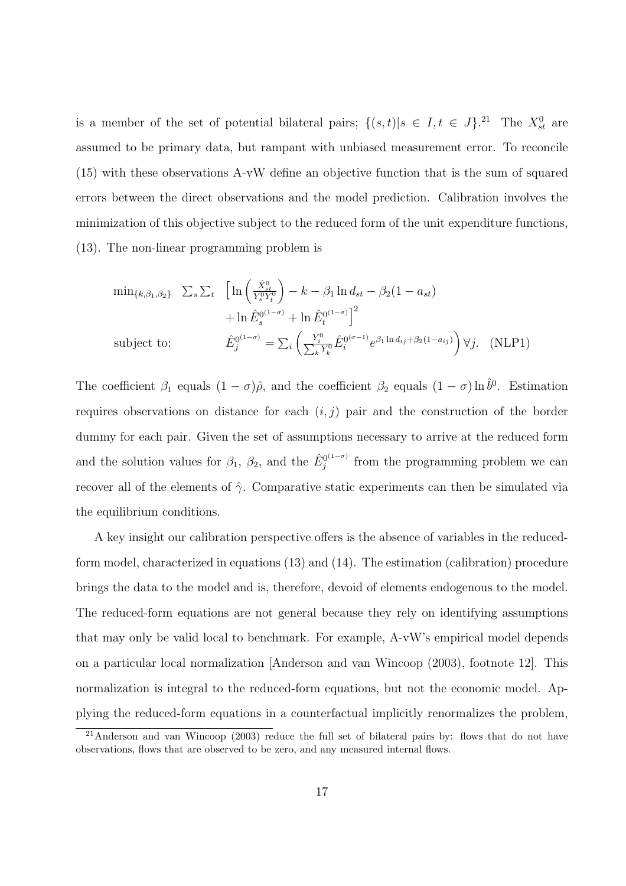is a member of the set of potential bilateral pairs;  $\{(s,t)|s\in I, t\in J\}$ .<sup>21</sup> The  $X_{st}^0$  are assumed to be primary data, but rampant with unbiased measurement error. To reconcile (15) with these observations A-vW define an objective function that is the sum of squared errors between the direct observations and the model prediction. Calibration involves the minimization of this objective subject to the reduced form of the unit expenditure functions, (13). The non-linear programming problem is

$$
\min_{\{k,\beta_1,\beta_2\}} \sum_{s} \sum_{t} \left[ \ln \left( \frac{\hat{X}_{st}^0}{Y_s^0 Y_t^0} \right) - k - \beta_1 \ln d_{st} - \beta_2 (1 - a_{st}) \right. \n\left. + \ln \hat{E}_s^{0^{(1-\sigma)}} + \ln \hat{E}_t^{0^{(1-\sigma)}} \right]^2
$$
\n
$$
\text{subject to:} \qquad \hat{E}_j^{0^{(1-\sigma)}} = \sum_{i} \left( \frac{Y_i^0}{\sum_{k} Y_k^0} \hat{E}_i^{0^{(\sigma-1)}} e^{\beta_1 \ln d_{ij} + \beta_2 (1 - a_{ij})} \right) \forall j. \quad (\text{NLP1})
$$

The coefficient  $\beta_1$  equals  $(1 - \sigma)\hat{\rho}$ , and the coefficient  $\beta_2$  equals  $(1 - \sigma)\ln \hat{b}^0$ . Estimation requires observations on distance for each  $(i, j)$  pair and the construction of the border dummy for each pair. Given the set of assumptions necessary to arrive at the reduced form and the solution values for  $\beta_1$ ,  $\beta_2$ , and the  $\hat{E}_i^{0(1-\sigma)}$  $j^{(1-\sigma)}$  from the programming problem we can recover all of the elements of  $\hat{\gamma}$ . Comparative static experiments can then be simulated via the equilibrium conditions.

A key insight our calibration perspective offers is the absence of variables in the reducedform model, characterized in equations (13) and (14). The estimation (calibration) procedure brings the data to the model and is, therefore, devoid of elements endogenous to the model. The reduced-form equations are not general because they rely on identifying assumptions that may only be valid local to benchmark. For example, A-vW's empirical model depends on a particular local normalization [Anderson and van Wincoop (2003), footnote 12]. This normalization is integral to the reduced-form equations, but not the economic model. Applying the reduced-form equations in a counterfactual implicitly renormalizes the problem,

 $^{21}$ Anderson and van Wincoop (2003) reduce the full set of bilateral pairs by: flows that do not have observations, flows that are observed to be zero, and any measured internal flows.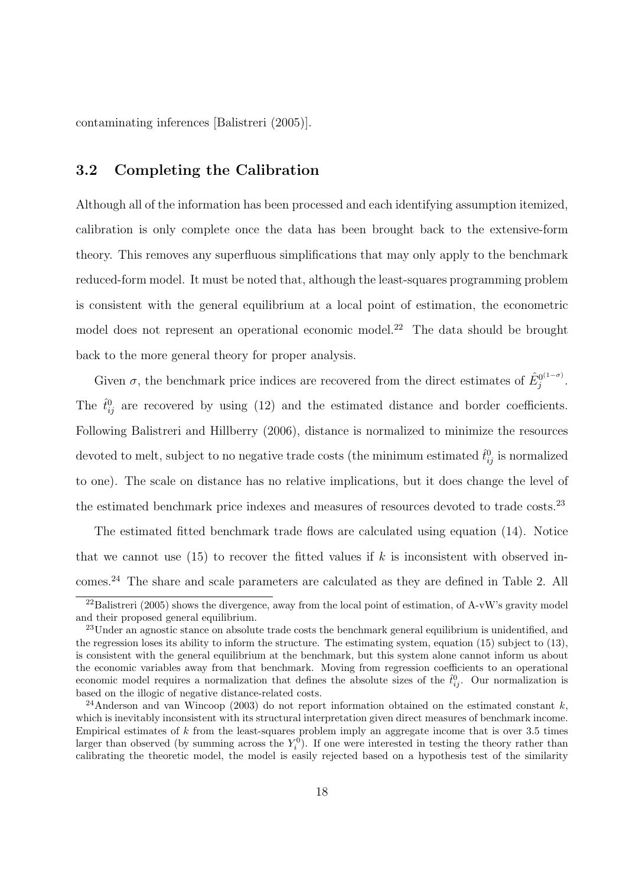contaminating inferences [Balistreri (2005)].

### 3.2 Completing the Calibration

Although all of the information has been processed and each identifying assumption itemized, calibration is only complete once the data has been brought back to the extensive-form theory. This removes any superfluous simplifications that may only apply to the benchmark reduced-form model. It must be noted that, although the least-squares programming problem is consistent with the general equilibrium at a local point of estimation, the econometric model does not represent an operational economic model.<sup>22</sup> The data should be brought back to the more general theory for proper analysis.

Given  $\sigma$ , the benchmark price indices are recovered from the direct estimates of  $\hat{E}_{i}^{0(1-\sigma)}$  $j^{(1-\sigma)}$ . The  $\hat{t}_{ij}^0$  are recovered by using (12) and the estimated distance and border coefficients. Following Balistreri and Hillberry (2006), distance is normalized to minimize the resources devoted to melt, subject to no negative trade costs (the minimum estimated  $\hat{t}_{ij}^0$  is normalized to one). The scale on distance has no relative implications, but it does change the level of the estimated benchmark price indexes and measures of resources devoted to trade costs.<sup>23</sup>

The estimated fitted benchmark trade flows are calculated using equation (14). Notice that we cannot use  $(15)$  to recover the fitted values if k is inconsistent with observed incomes.<sup>24</sup> The share and scale parameters are calculated as they are defined in Table 2. All

 $^{22}$ Balistreri (2005) shows the divergence, away from the local point of estimation, of A-vW's gravity model and their proposed general equilibrium.

<sup>&</sup>lt;sup>23</sup>Under an agnostic stance on absolute trade costs the benchmark general equilibrium is unidentified, and the regression loses its ability to inform the structure. The estimating system, equation (15) subject to (13), is consistent with the general equilibrium at the benchmark, but this system alone cannot inform us about the economic variables away from that benchmark. Moving from regression coefficients to an operational economic model requires a normalization that defines the absolute sizes of the  $\hat{t}_{ij}^0$ . Our normalization is based on the illogic of negative distance-related costs.

<sup>&</sup>lt;sup>24</sup>Anderson and van Wincoop (2003) do not report information obtained on the estimated constant k. which is inevitably inconsistent with its structural interpretation given direct measures of benchmark income. Empirical estimates of  $k$  from the least-squares problem imply an aggregate income that is over 3.5 times larger than observed (by summing across the  $Y_i^0$ ). If one were interested in testing the theory rather than calibrating the theoretic model, the model is easily rejected based on a hypothesis test of the similarity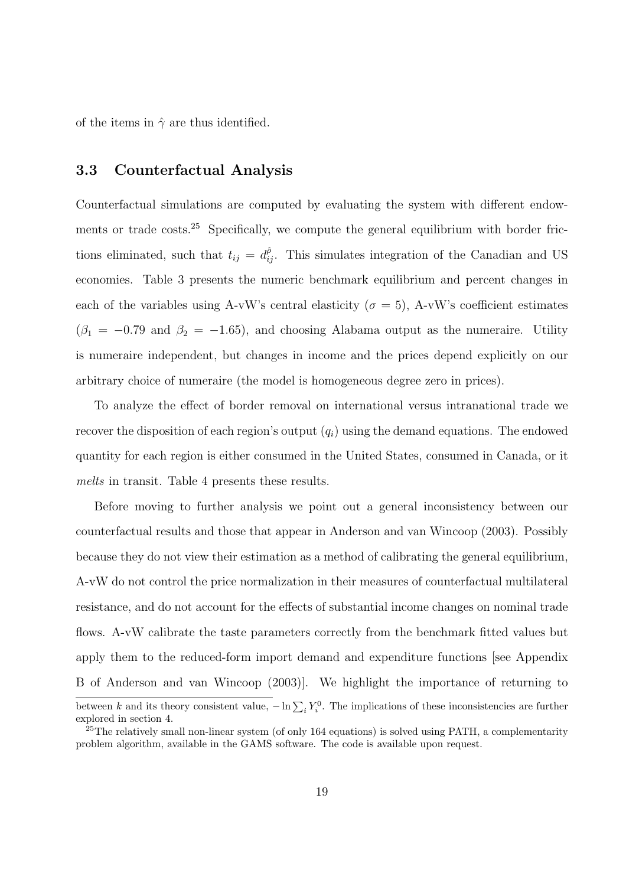of the items in  $\hat{\gamma}$  are thus identified.

### 3.3 Counterfactual Analysis

Counterfactual simulations are computed by evaluating the system with different endowments or trade costs.<sup>25</sup> Specifically, we compute the general equilibrium with border frictions eliminated, such that  $t_{ij} = d_{ij}^{\hat{\rho}}$ . This simulates integration of the Canadian and US economies. Table 3 presents the numeric benchmark equilibrium and percent changes in each of the variables using A-vW's central elasticity ( $\sigma = 5$ ), A-vW's coefficient estimates  $(\beta_1 = -0.79 \text{ and } \beta_2 = -1.65)$ , and choosing Alabama output as the numeraire. Utility is numeraire independent, but changes in income and the prices depend explicitly on our arbitrary choice of numeraire (the model is homogeneous degree zero in prices).

To analyze the effect of border removal on international versus intranational trade we recover the disposition of each region's output  $(q_i)$  using the demand equations. The endowed quantity for each region is either consumed in the United States, consumed in Canada, or it melts in transit. Table 4 presents these results.

Before moving to further analysis we point out a general inconsistency between our counterfactual results and those that appear in Anderson and van Wincoop (2003). Possibly because they do not view their estimation as a method of calibrating the general equilibrium, A-vW do not control the price normalization in their measures of counterfactual multilateral resistance, and do not account for the effects of substantial income changes on nominal trade flows. A-vW calibrate the taste parameters correctly from the benchmark fitted values but apply them to the reduced-form import demand and expenditure functions [see Appendix B of Anderson and van Wincoop (2003)]. We highlight the importance of returning to between k and its theory consistent value,  $-\ln\sum_i Y_i^0$ . The implications of these inconsistencies are further explored in section 4.

 $25$ The relatively small non-linear system (of only 164 equations) is solved using PATH, a complementarity problem algorithm, available in the GAMS software. The code is available upon request.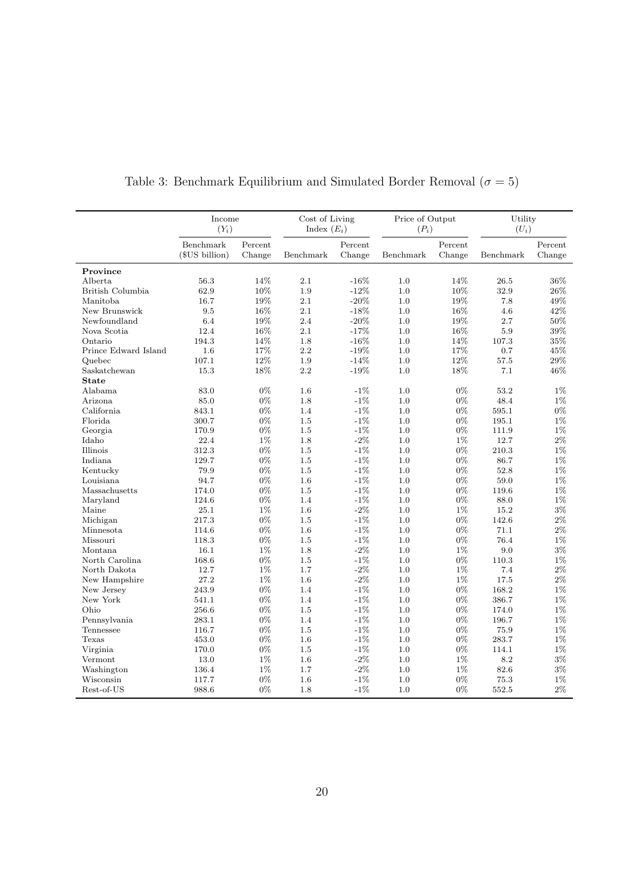|                      | Income<br>$(Y_i)$ |         | Cost of Living<br>Index $(E_i)$ |         |           | Price of Output<br>$(P_i)$ |           | Utility<br>$(U_i)$ |
|----------------------|-------------------|---------|---------------------------------|---------|-----------|----------------------------|-----------|--------------------|
|                      | Benchmark         | Percent |                                 | Percent |           | Percent                    |           | Percent            |
|                      | (\$US billion)    | Change  | Benchmark                       | Change  | Benchmark | Change                     | Benchmark | Change             |
| Province             |                   |         |                                 |         |           |                            |           |                    |
| Alberta              | 56.3              | 14%     | 2.1                             | $-16%$  | 1.0       | 14%                        | 26.5      | 36%                |
| British Columbia     | 62.9              | 10%     | 1.9                             | $-12\%$ | 1.0       | 10%                        | 32.9      | 26\%               |
| Manitoba             | 16.7              | 19%     | 2.1                             | $-20\%$ | 1.0       | 19%                        | 7.8       | 49%                |
| New Brunswick        | 9.5               | 16%     | 2.1                             | $-18\%$ | 1.0       | 16%                        | 4.6       | 42%                |
| Newfoundland         | 6.4               | 19%     | 2.4                             | $-20%$  | 1.0       | 19%                        | 2.7       | 50%                |
| Nova Scotia          | 12.4              | 16%     | 2.1                             | $-17%$  | 1.0       | 16%                        | 5.9       | 39%                |
| Ontario              | 194.3             | 14%     | 1.8                             | $-16%$  | 1.0       | 14%                        | 107.3     | 35%                |
| Prince Edward Island | 1.6               | 17%     | 2.2                             | $-19%$  | 1.0       | 17%                        | 0.7       | 45%                |
| Quebec               | 107.1             | 12%     | 1.9                             | $-14%$  | 1.0       | 12%                        | 57.5      | $29\%$             |
| Saskatchewan         | 15.3              | 18%     | 2.2                             | $-19%$  | 1.0       | 18%                        | 7.1       | 46\%               |
| <b>State</b>         |                   |         |                                 |         |           |                            |           |                    |
| Alabama              | 83.0              | $0\%$   | 1.6                             | $-1\%$  | 1.0       | $0\%$                      | 53.2      | $1\%$              |
| Arizona              | 85.0              | $0\%$   | 1.8                             | $-1\%$  | 1.0       | $0\%$                      | 48.4      | $1\%$              |
| California           | 843.1             | 0%      | 1.4                             | $-1%$   | 1.0       | 0%                         | 595.1     | 0%                 |
| Florida              | 300.7             | $0\%$   | 1.5                             | $-1%$   | 1.0       | $0\%$                      | 195.1     | $1\%$              |
| Georgia              | 170.9             | 0%      | 1.5                             | $-1%$   | 1.0       | 0%                         | 111.9     | $1\%$              |
| Idaho                | 22.4              | $1\%$   | 1.8                             | $-2\%$  | 1.0       | $1\%$                      | 12.7      | $2\%$              |
| Illinois             | 312.3             | $0\%$   | 1.5                             | $-1%$   | 1.0       | $0\%$                      | 210.3     | $1\%$              |
| Indiana              | 129.7             | 0%      | 1.5                             | $-1%$   | 1.0       | 0%                         | 86.7      | 1%                 |
| Kentucky             | 79.9              | $0\%$   | 1.5                             | $-1%$   | 1.0       | $0\%$                      | 52.8      | $1\%$              |
| Louisiana            | 94.7              | 0%      | 1.6                             | $-1\%$  | 1.0       | $0\%$                      | 59.0      | $1\%$              |
| Massachusetts        | 174.0             | $0\%$   | 1.5                             | $-1\%$  | 1.0       | $0\%$                      | 119.6     | $1\%$              |
| Maryland             | 124.6             | $0\%$   | 1.4                             | $-1%$   | 1.0       | $0\%$                      | 88.0      | $1\%$              |
| Maine                | 25.1              | $1\%$   | 1.6                             | $-2\%$  | 1.0       | 1%                         | 15.2      | 3%                 |
| Michigan             | 217.3             | 0%      | 1.5                             | $-1%$   | 1.0       | 0%                         | 142.6     | $2\%$              |
| Minnesota            | 114.6             | 0%      | 1.6                             | $-1%$   | 1.0       | 0%                         | 71.1      | $2\%$              |
| Missouri             | 118.3             | 0%      | 1.5                             | $-1%$   | 1.0       | $0\%$                      | 76.4      | $1\%$              |
| Montana              | 16.1              | 1%      | 1.8                             | $-2\%$  | 1.0       | 1%                         | 9.0       | 3%                 |
| North Carolina       | 168.6             | $0\%$   | 1.5                             | $-1\%$  | 1.0       | $0\%$                      | 110.3     | $1\%$              |
| North Dakota         | 12.7              | $1\%$   | 1.7                             | $-2\%$  | 1.0       | $1\%$                      | 7.4       | $2\%$              |
| New Hampshire        | 27.2              | $1\%$   | 1.6                             | $-2\%$  | 1.0       | $1\%$                      | 17.5      | $2\%$              |
| New Jersey           | 243.9             | $0\%$   | 1.4                             | $-1%$   | 1.0       | 0%                         | 168.2     | $1\%$              |
| New York             | 541.1             | $0\%$   | 1.4                             | $-1\%$  | 1.0       | $0\%$                      | 386.7     | $1\%$              |
| Ohio                 | 256.6             | 0%      | 1.5                             | $-1%$   | 1.0       | $0\%$                      | 174.0     | $1\%$              |
| Pennsylvania         | 283.1             | $0\%$   | 1.4                             | $-1\%$  | 1.0       | $0\%$                      | 196.7     | $1\%$              |
| Tennessee            | 116.7             | 0%      | 1.5                             | $-1%$   | 1.0       | 0%                         | 75.9      | 1%                 |
| Texas                | 453.0             | 0%      | 1.6                             | $-1\%$  | 1.0       | 0%                         | 283.7     | 1%                 |
| Virginia             | 170.0             | $0\%$   | 1.5                             | $-1\%$  | 1.0       | $0\%$                      | 114.1     | $1\%$              |
| Vermont              | 13.0              | $1\%$   | 1.6                             | $-2\%$  | 1.0       | 1%                         | 8.2       | $3\%$              |
| Washington           | 136.4             | $1\%$   | 1.7                             | $-2\%$  | 1.0       | 1%                         | 82.6      | $3\%$              |
| Wisconsin            | 117.7             | $0\%$   | 1.6                             | $-1\%$  | 1.0       | $0\%$                      | 75.3      | $1\%$              |
| Rest-of-US           | 988.6             | $0\%$   | 1.8                             | $-1\%$  | 1.0       | $0\%$                      | 552.5     | $2\%$              |

Table 3: Benchmark Equilibrium and Simulated Border Removal  $(\sigma=5)$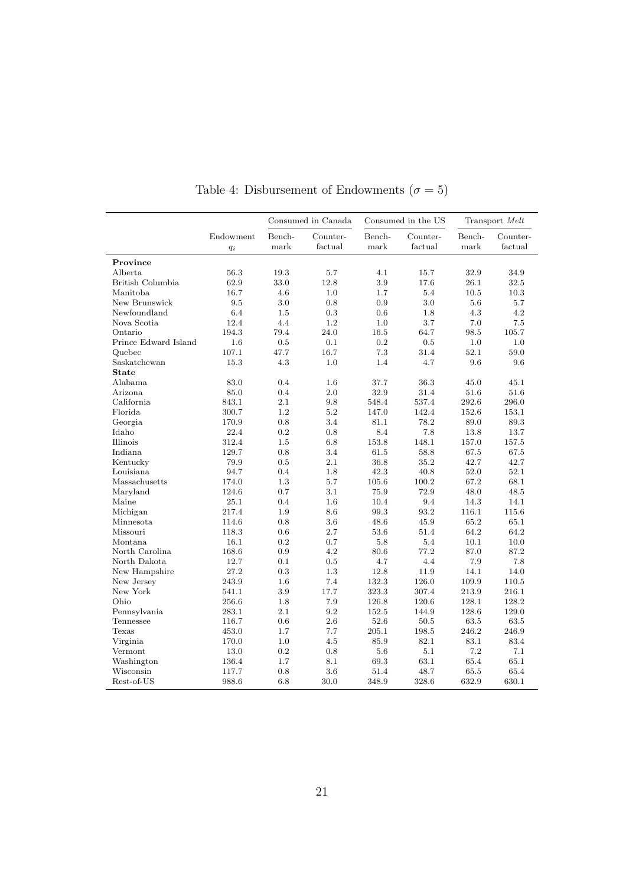|                      |                    |                | Consumed in Canada  |                | Consumed in the US  | Transport Melt |                     |  |
|----------------------|--------------------|----------------|---------------------|----------------|---------------------|----------------|---------------------|--|
|                      | Endowment<br>$q_i$ | Bench-<br>mark | Counter-<br>factual | Bench-<br>mark | Counter-<br>factual | Bench-<br>mark | Counter-<br>factual |  |
| Province             |                    |                |                     |                |                     |                |                     |  |
| Alberta              | 56.3               | 19.3           | 5.7                 | 4.1            | 15.7                | 32.9           | 34.9                |  |
| British Columbia     | 62.9               | 33.0           | 12.8                | 3.9            | 17.6                | 26.1           | 32.5                |  |
| Manitoba             | 16.7               | 4.6            | 1.0                 | $1.7\,$        | 5.4                 | 10.5           | 10.3                |  |
| New Brunswick        | 9.5                | 3.0            | 0.8                 | 0.9            | 3.0                 | 5.6            | 5.7                 |  |
| Newfoundland         | 6.4                | 1.5            | 0.3                 | 0.6            | 1.8                 | 4.3            | 4.2                 |  |
| Nova Scotia          | 12.4               | 4.4            | 1.2                 | 1.0            | 3.7                 | 7.0            | 7.5                 |  |
| Ontario              | 194.3              | 79.4           | 24.0                | 16.5           | 64.7                | 98.5           | $105.7\,$           |  |
| Prince Edward Island | 1.6                | 0.5            | 0.1                 | 0.2            | 0.5                 | 1.0            | 1.0                 |  |
| Quebec               | 107.1              | 47.7           | 16.7                | 7.3            | 31.4                | 52.1           | 59.0                |  |
| Saskatchewan         | 15.3               | 4.3            | 1.0                 | 1.4            | 4.7                 | 9.6            | 9.6                 |  |
| <b>State</b>         |                    |                |                     |                |                     |                |                     |  |
| Alabama              | 83.0               | 0.4            | 1.6                 | 37.7           | 36.3                | 45.0           | 45.1                |  |
| Arizona              | 85.0               | 0.4            | 2.0                 | 32.9           | 31.4                | 51.6           | 51.6                |  |
| California.          | 843.1              | 2.1            | 9.8                 | 548.4          | 537.4               | 292.6          | 296.0               |  |
| Florida              | 300.7              | 1.2            | 5.2                 | 147.0          | 142.4               | 152.6          | 153.1               |  |
| Georgia              | 170.9              | 0.8            | 3.4                 | 81.1           | 78.2                | 89.0           | 89.3                |  |
| Idaho                | 22.4               | 0.2            | 0.8                 | 8.4            | 7.8                 | 13.8           | 13.7                |  |
| Illinois             | 312.4              | 1.5            | 6.8                 | 153.8          | 148.1               | 157.0          | 157.5               |  |
| Indiana              | 129.7              | 0.8            | 3.4                 | 61.5           | 58.8                | 67.5           | 67.5                |  |
| Kentucky             | 79.9               | 0.5            | 2.1                 | 36.8           | 35.2                | 42.7           | 42.7                |  |
| Louisiana            | 94.7               | 0.4            | 1.8                 | 42.3           | 40.8                | 52.0           | 52.1                |  |
| Massachusetts        | 174.0              | 1.3            | 5.7                 | $105.6\,$      | 100.2               | 67.2           | 68.1                |  |
| Maryland             | 124.6              | 0.7            | 3.1                 | 75.9           | 72.9                | 48.0           | 48.5                |  |
| Maine                | 25.1               | 0.4            | 1.6                 | 10.4           | 9.4                 | 14.3           | 14.1                |  |
| Michigan             | 217.4              | 1.9            | 8.6                 | 99.3           | 93.2                | 116.1          | 115.6               |  |
| Minnesota            | 114.6              | 0.8            | 3.6                 | 48.6           | 45.9                | 65.2           | 65.1                |  |
| Missouri             | 118.3              | 0.6            | 2.7                 | 53.6           | 51.4                | 64.2           | 64.2                |  |
| Montana              | 16.1               | 0.2            | 0.7                 | 5.8            | 5.4                 | 10.1           | 10.0                |  |
| North Carolina       | 168.6              | 0.9            | 4.2                 | 80.6           | 77.2                | 87.0           | 87.2                |  |
| North Dakota         | 12.7               | 0.1            | 0.5                 | 4.7            | 4.4                 | 7.9            | 7.8                 |  |
| New Hampshire        | 27.2               | 0.3            | 1.3                 | 12.8           | 11.9                | 14.1           | 14.0                |  |
| New Jersey           | 243.9              | 1.6            | 7.4                 | 132.3          | 126.0               | 109.9          | 110.5               |  |
| New York             | 541.1              | 3.9            | 17.7                | 323.3          | 307.4               | 213.9          | 216.1               |  |
| Ohio                 | 256.6              | 1.8            | 7.9                 | 126.8          | 120.6               | 128.1          | 128.2               |  |
| Pennsylvania         | 283.1              | 2.1            | 9.2                 | 152.5          | 144.9               | 128.6          | 129.0               |  |
| Tennessee            | 116.7              | 0.6            | 2.6                 | 52.6           | 50.5                | 63.5           | 63.5                |  |
| Texas                | 453.0              | 1.7            | 7.7                 | 205.1          | 198.5               | 246.2          | 246.9               |  |
|                      | 170.0              | 1.0            | 4.5                 | 85.9           | 82.1                | 83.1           | 83.4                |  |
| Virginia<br>Vermont  | 13.0               | 0.2            | 0.8                 | 5.6            | 5.1                 | 7.2            | 7.1                 |  |
|                      |                    |                |                     |                |                     |                |                     |  |
| Washington           | 136.4              | 1.7            | 8.1                 | 69.3           | 63.1                | 65.4           | 65.1                |  |
| Wisconsin            | 117.7              | 0.8            | 3.6                 | 51.4           | 48.7                | 65.5           | 65.4                |  |
| Rest-of-US           | 988.6              | 6.8            | 30.0                | 348.9          | 328.6               | 632.9          | 630.1               |  |

Table 4: Disbursement of Endowments  $(\sigma=5)$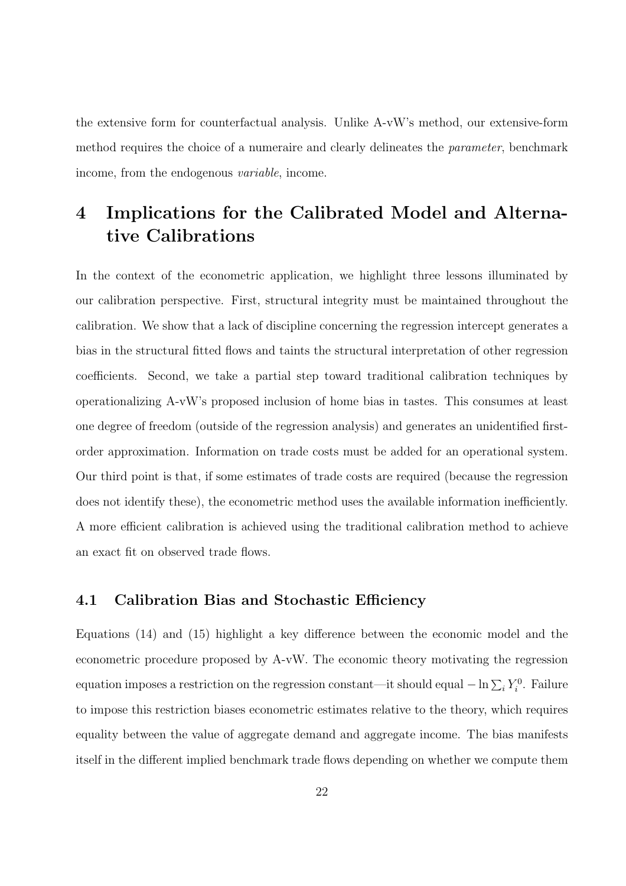the extensive form for counterfactual analysis. Unlike A-vW's method, our extensive-form method requires the choice of a numeraire and clearly delineates the *parameter*, benchmark income, from the endogenous variable, income.

## 4 Implications for the Calibrated Model and Alternative Calibrations

In the context of the econometric application, we highlight three lessons illuminated by our calibration perspective. First, structural integrity must be maintained throughout the calibration. We show that a lack of discipline concerning the regression intercept generates a bias in the structural fitted flows and taints the structural interpretation of other regression coefficients. Second, we take a partial step toward traditional calibration techniques by operationalizing A-vW's proposed inclusion of home bias in tastes. This consumes at least one degree of freedom (outside of the regression analysis) and generates an unidentified firstorder approximation. Information on trade costs must be added for an operational system. Our third point is that, if some estimates of trade costs are required (because the regression does not identify these), the econometric method uses the available information inefficiently. A more efficient calibration is achieved using the traditional calibration method to achieve an exact fit on observed trade flows.

### 4.1 Calibration Bias and Stochastic Efficiency

Equations (14) and (15) highlight a key difference between the economic model and the econometric procedure proposed by A-vW. The economic theory motivating the regression equation imposes a restriction on the regression constant—it should equal  $-\ln \sum_i Y_i^0$ . Failure to impose this restriction biases econometric estimates relative to the theory, which requires equality between the value of aggregate demand and aggregate income. The bias manifests itself in the different implied benchmark trade flows depending on whether we compute them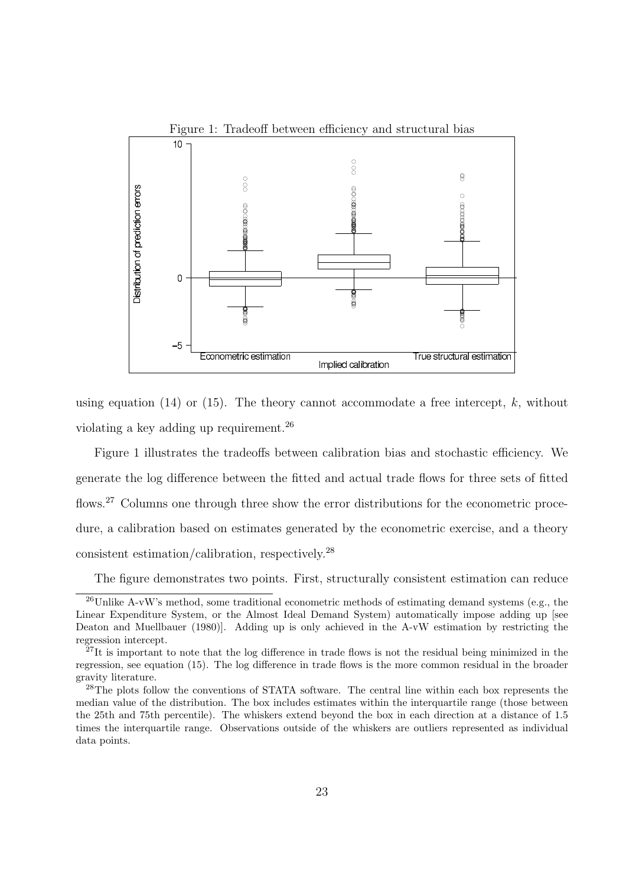

using equation (14) or (15). The theory cannot accommodate a free intercept,  $k$ , without violating a key adding up requirement.<sup>26</sup>

Figure 1 illustrates the tradeoffs between calibration bias and stochastic efficiency. We generate the log difference between the fitted and actual trade flows for three sets of fitted flows.<sup>27</sup> Columns one through three show the error distributions for the econometric procedure, a calibration based on estimates generated by the econometric exercise, and a theory consistent estimation/calibration, respectively.<sup>28</sup>

The figure demonstrates two points. First, structurally consistent estimation can reduce

 $^{26}$ Unlike A-vW's method, some traditional econometric methods of estimating demand systems (e.g., the Linear Expenditure System, or the Almost Ideal Demand System) automatically impose adding up [see Deaton and Muellbauer (1980)]. Adding up is only achieved in the A-vW estimation by restricting the regression intercept.

 $^{27}$ It is important to note that the log difference in trade flows is not the residual being minimized in the regression, see equation (15). The log difference in trade flows is the more common residual in the broader gravity literature.

<sup>&</sup>lt;sup>28</sup>The plots follow the conventions of STATA software. The central line within each box represents the median value of the distribution. The box includes estimates within the interquartile range (those between the 25th and 75th percentile). The whiskers extend beyond the box in each direction at a distance of 1.5 times the interquartile range. Observations outside of the whiskers are outliers represented as individual data points.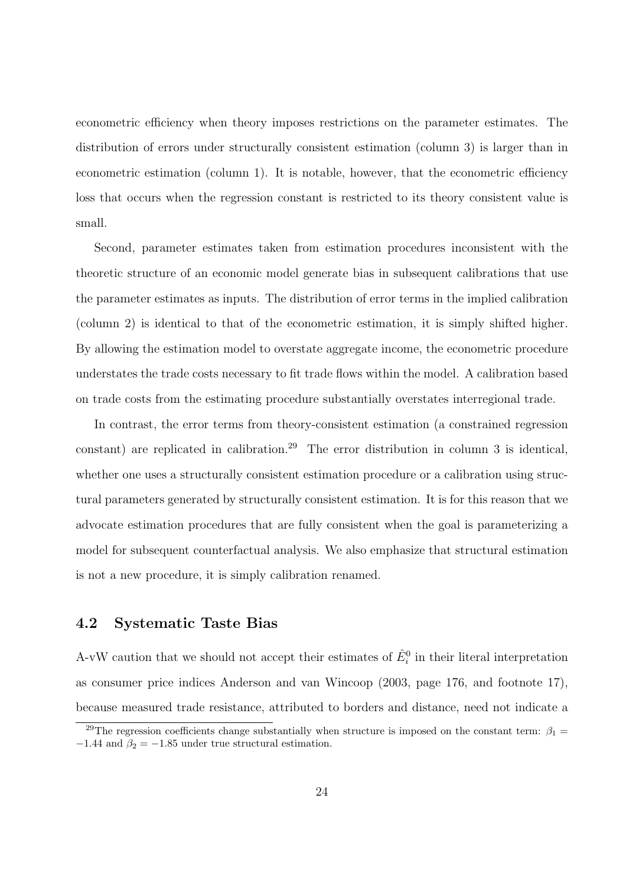econometric efficiency when theory imposes restrictions on the parameter estimates. The distribution of errors under structurally consistent estimation (column 3) is larger than in econometric estimation (column 1). It is notable, however, that the econometric efficiency loss that occurs when the regression constant is restricted to its theory consistent value is small.

Second, parameter estimates taken from estimation procedures inconsistent with the theoretic structure of an economic model generate bias in subsequent calibrations that use the parameter estimates as inputs. The distribution of error terms in the implied calibration (column 2) is identical to that of the econometric estimation, it is simply shifted higher. By allowing the estimation model to overstate aggregate income, the econometric procedure understates the trade costs necessary to fit trade flows within the model. A calibration based on trade costs from the estimating procedure substantially overstates interregional trade.

In contrast, the error terms from theory-consistent estimation (a constrained regression constant) are replicated in calibration.<sup>29</sup> The error distribution in column 3 is identical, whether one uses a structurally consistent estimation procedure or a calibration using structural parameters generated by structurally consistent estimation. It is for this reason that we advocate estimation procedures that are fully consistent when the goal is parameterizing a model for subsequent counterfactual analysis. We also emphasize that structural estimation is not a new procedure, it is simply calibration renamed.

### 4.2 Systematic Taste Bias

A-vW caution that we should not accept their estimates of  $\hat{E}_i^0$  in their literal interpretation as consumer price indices Anderson and van Wincoop (2003, page 176, and footnote 17), because measured trade resistance, attributed to borders and distance, need not indicate a

<sup>&</sup>lt;sup>29</sup>The regression coefficients change substantially when structure is imposed on the constant term:  $\beta_1$  =  $-1.44$  and  $\beta_2 = -1.85$  under true structural estimation.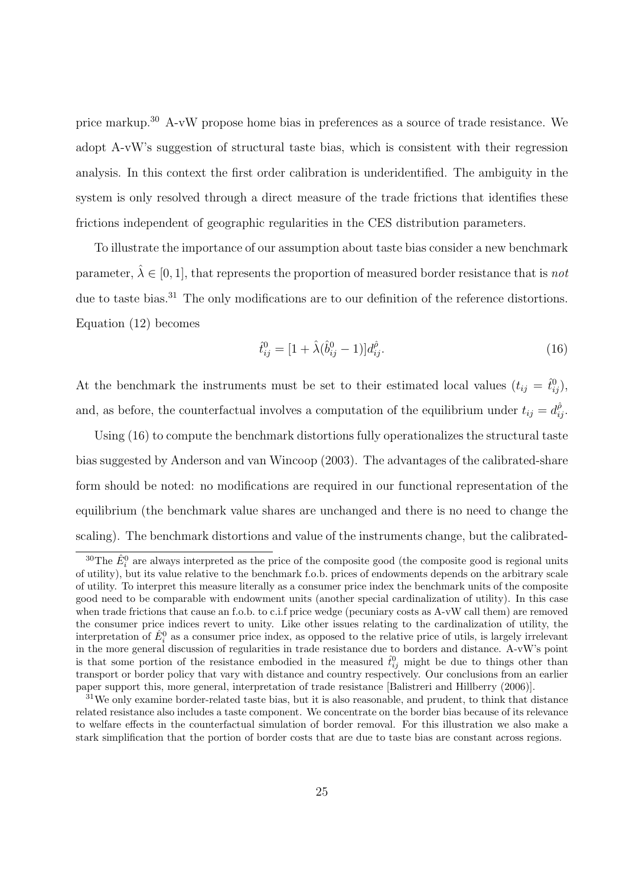price markup.<sup>30</sup> A-vW propose home bias in preferences as a source of trade resistance. We adopt A-vW's suggestion of structural taste bias, which is consistent with their regression analysis. In this context the first order calibration is underidentified. The ambiguity in the system is only resolved through a direct measure of the trade frictions that identifies these frictions independent of geographic regularities in the CES distribution parameters.

To illustrate the importance of our assumption about taste bias consider a new benchmark parameter,  $\hat{\lambda} \in [0, 1]$ , that represents the proportion of measured border resistance that is not due to taste bias.<sup>31</sup> The only modifications are to our definition of the reference distortions. Equation (12) becomes

$$
\hat{t}_{ij}^0 = [1 + \hat{\lambda}(\hat{b}_{ij}^0 - 1)]d_{ij}^{\hat{\rho}}.
$$
\n(16)

At the benchmark the instruments must be set to their estimated local values  $(t_{ij} = \hat{t}_{ij}^0)$ , and, as before, the counterfactual involves a computation of the equilibrium under  $t_{ij} = d_{ij}^{\hat{\rho}}$ .

Using (16) to compute the benchmark distortions fully operationalizes the structural taste bias suggested by Anderson and van Wincoop (2003). The advantages of the calibrated-share form should be noted: no modifications are required in our functional representation of the equilibrium (the benchmark value shares are unchanged and there is no need to change the scaling). The benchmark distortions and value of the instruments change, but the calibrated-

<sup>&</sup>lt;sup>30</sup>The  $\hat{E}^0_i$  are always interpreted as the price of the composite good (the composite good is regional units of utility), but its value relative to the benchmark f.o.b. prices of endowments depends on the arbitrary scale of utility. To interpret this measure literally as a consumer price index the benchmark units of the composite good need to be comparable with endowment units (another special cardinalization of utility). In this case when trade frictions that cause an f.o.b. to c.i.f price wedge (pecuniary costs as A-vW call them) are removed the consumer price indices revert to unity. Like other issues relating to the cardinalization of utility, the interpretation of  $\hat{E}_i^0$  as a consumer price index, as opposed to the relative price of utils, is largely irrelevant in the more general discussion of regularities in trade resistance due to borders and distance. A-vW's point is that some portion of the resistance embodied in the measured  $\hat{t}_{ij}^0$  might be due to things other than transport or border policy that vary with distance and country respectively. Our conclusions from an earlier paper support this, more general, interpretation of trade resistance [Balistreri and Hillberry (2006)].

<sup>&</sup>lt;sup>31</sup>We only examine border-related taste bias, but it is also reasonable, and prudent, to think that distance related resistance also includes a taste component. We concentrate on the border bias because of its relevance to welfare effects in the counterfactual simulation of border removal. For this illustration we also make a stark simplification that the portion of border costs that are due to taste bias are constant across regions.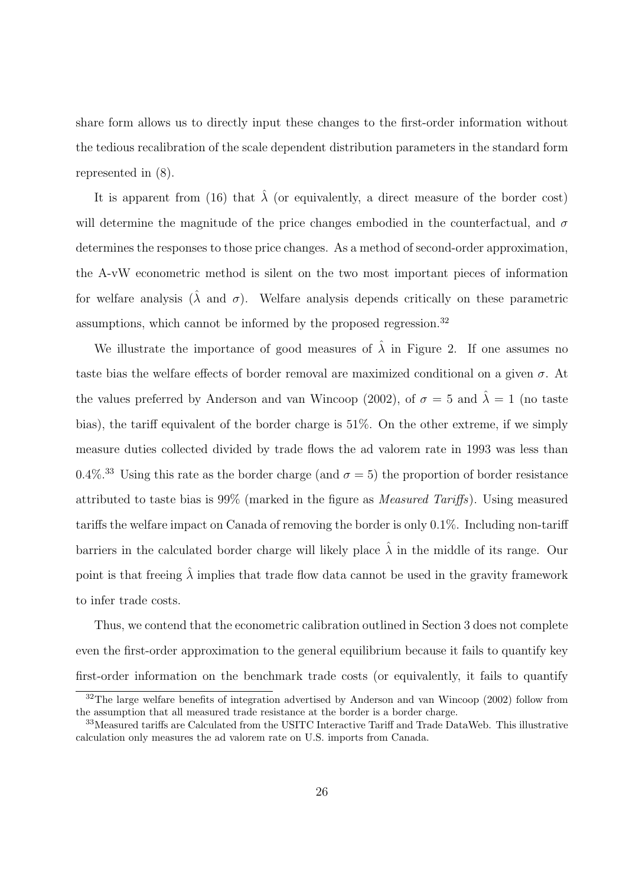share form allows us to directly input these changes to the first-order information without the tedious recalibration of the scale dependent distribution parameters in the standard form represented in (8).

It is apparent from (16) that  $\hat{\lambda}$  (or equivalently, a direct measure of the border cost) will determine the magnitude of the price changes embodied in the counterfactual, and  $\sigma$ determines the responses to those price changes. As a method of second-order approximation, the A-vW econometric method is silent on the two most important pieces of information for welfare analysis  $(\lambda \text{ and } \sigma)$ . Welfare analysis depends critically on these parametric assumptions, which cannot be informed by the proposed regression.<sup>32</sup>

We illustrate the importance of good measures of  $\lambda$  in Figure 2. If one assumes no taste bias the welfare effects of border removal are maximized conditional on a given  $\sigma$ . At the values preferred by Anderson and van Wincoop (2002), of  $\sigma = 5$  and  $\hat{\lambda} = 1$  (no taste bias), the tariff equivalent of the border charge is 51%. On the other extreme, if we simply measure duties collected divided by trade flows the ad valorem rate in 1993 was less than 0.4%.<sup>33</sup> Using this rate as the border charge (and  $\sigma = 5$ ) the proportion of border resistance attributed to taste bias is 99% (marked in the figure as Measured Tariffs). Using measured tariffs the welfare impact on Canada of removing the border is only 0.1%. Including non-tariff barriers in the calculated border charge will likely place  $\hat{\lambda}$  in the middle of its range. Our point is that freeing  $\hat{\lambda}$  implies that trade flow data cannot be used in the gravity framework to infer trade costs.

Thus, we contend that the econometric calibration outlined in Section 3 does not complete even the first-order approximation to the general equilibrium because it fails to quantify key first-order information on the benchmark trade costs (or equivalently, it fails to quantify

 $32$ The large welfare benefits of integration advertised by Anderson and van Wincoop (2002) follow from the assumption that all measured trade resistance at the border is a border charge.

<sup>33</sup>Measured tariffs are Calculated from the USITC Interactive Tariff and Trade DataWeb. This illustrative calculation only measures the ad valorem rate on U.S. imports from Canada.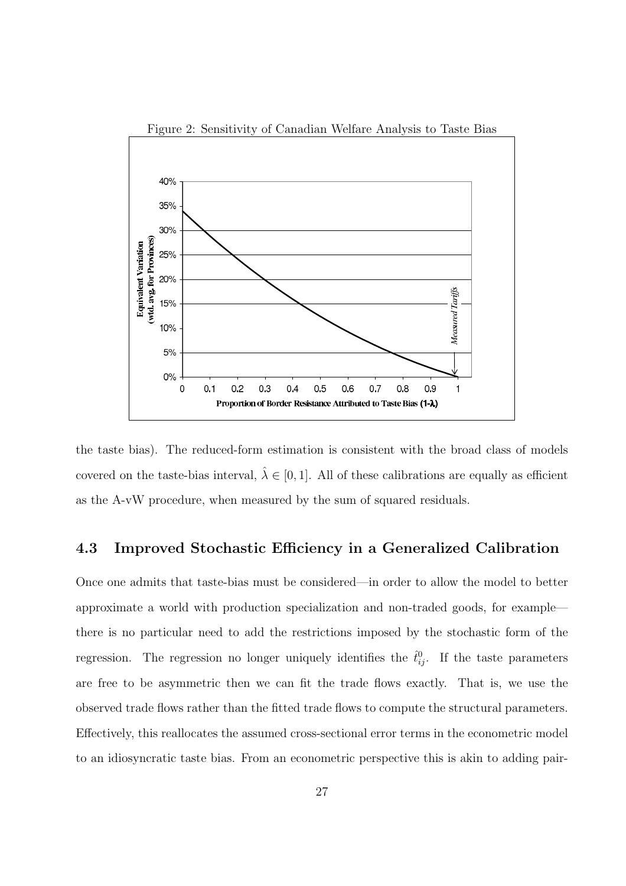

the taste bias). The reduced-form estimation is consistent with the broad class of models covered on the taste-bias interval,  $\hat{\lambda} \in [0, 1]$ . All of these calibrations are equally as efficient as the A-vW procedure, when measured by the sum of squared residuals.

### 4.3 Improved Stochastic Efficiency in a Generalized Calibration

Once one admits that taste-bias must be considered—in order to allow the model to better approximate a world with production specialization and non-traded goods, for example there is no particular need to add the restrictions imposed by the stochastic form of the regression. The regression no longer uniquely identifies the  $\hat{t}_{ij}^0$ . If the taste parameters are free to be asymmetric then we can fit the trade flows exactly. That is, we use the observed trade flows rather than the fitted trade flows to compute the structural parameters. Effectively, this reallocates the assumed cross-sectional error terms in the econometric model to an idiosyncratic taste bias. From an econometric perspective this is akin to adding pair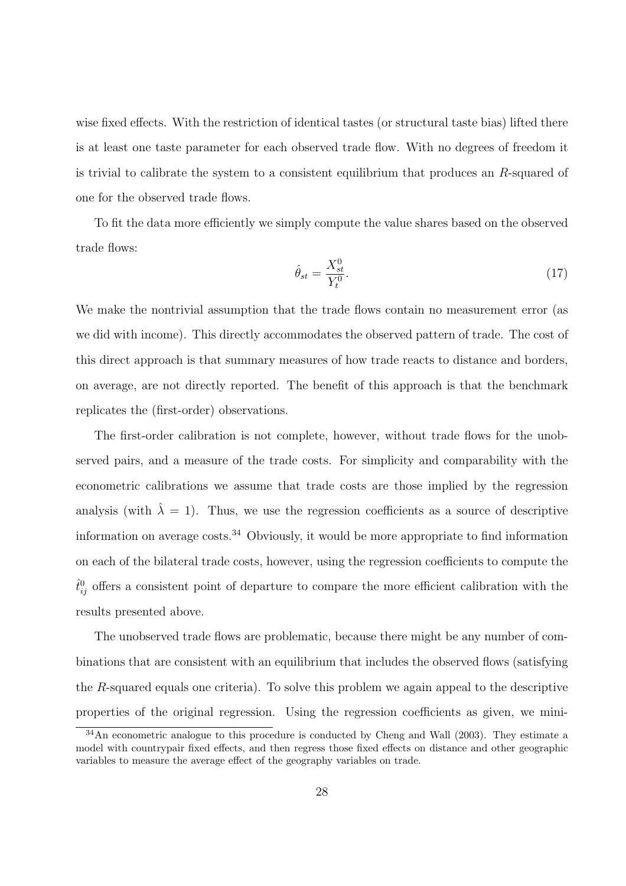wise fixed effects. With the restriction of identical tastes (or structural taste bias) lifted there is at least one taste parameter for each observed trade flow. With no degrees of freedom it is trivial to calibrate the system to a consistent equilibrium that produces an R-squared of one for the observed trade flows.

To fit the data more efficiently we simply compute the value shares based on the observed trade flows:

$$
\hat{\theta}_{st} = \frac{X_{st}^0}{Y_t^0}.\tag{17}
$$

We make the nontrivial assumption that the trade flows contain no measurement error (as we did with income). This directly accommodates the observed pattern of trade. The cost of this direct approach is that summary measures of how trade reacts to distance and borders, on average, are not directly reported. The benefit of this approach is that the benchmark replicates the (first-order) observations.

The first-order calibration is not complete, however, without trade flows for the unobserved pairs, and a measure of the trade costs. For simplicity and comparability with the econometric calibrations we assume that trade costs are those implied by the regression analysis (with  $\lambda = 1$ ). Thus, we use the regression coefficients as a source of descriptive information on average costs.<sup>34</sup> Obviously, it would be more appropriate to find information on each of the bilateral trade costs, however, using the regression coefficients to compute the  $\hat{t}_{ij}^0$  offers a consistent point of departure to compare the more efficient calibration with the results presented above.

The unobserved trade flows are problematic, because there might be any number of combinations that are consistent with an equilibrium that includes the observed flows (satisfying the  $R$ -squared equals one criteria). To solve this problem we again appeal to the descriptive properties of the original regression. Using the regression coefficients as given, we mini-

<sup>&</sup>lt;sup>34</sup>An econometric analogue to this procedure is conducted by Cheng and Wall (2003). They estimate a model with countrypair fixed effects, and then regress those fixed effects on distance and other geographic variables to measure the average effect of the geography variables on trade.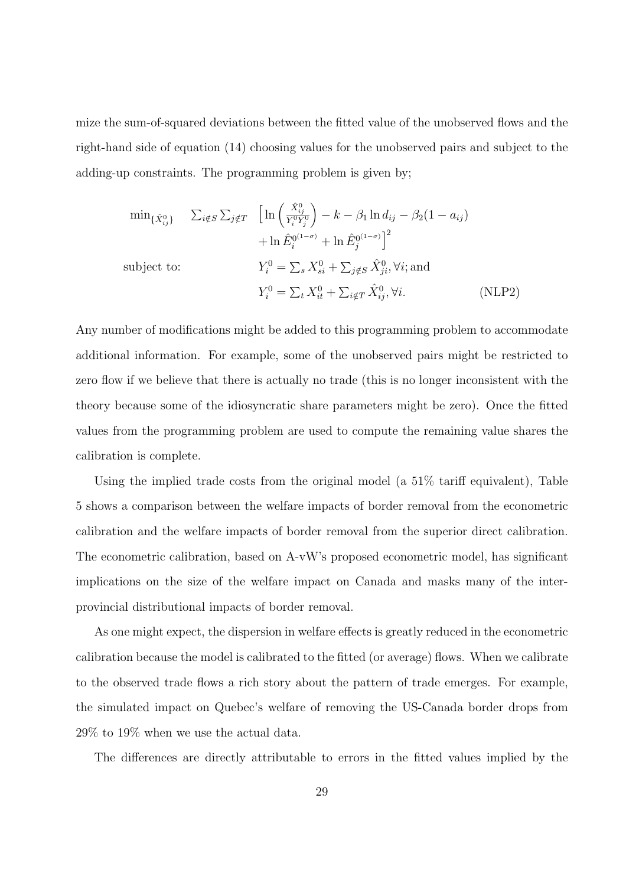mize the sum-of-squared deviations between the fitted value of the unobserved flows and the right-hand side of equation (14) choosing values for the unobserved pairs and subject to the adding-up constraints. The programming problem is given by;

$$
\min_{\{\hat{X}_{ij}^0\}} \quad \sum_{i \notin S} \sum_{j \notin T} \quad \left[ \ln \left( \frac{\hat{X}_{ij}^0}{Y_i^0 Y_j^0} \right) - k - \beta_1 \ln d_{ij} - \beta_2 (1 - a_{ij}) \right. \n\left. + \ln \hat{E}_i^{0(1-\sigma)} + \ln \hat{E}_j^{0(1-\sigma)} \right]^2
$$
\n
$$
\text{subject to:} \quad Y_i^0 = \sum_s X_{si}^0 + \sum_{j \notin S} \hat{X}_{ji}^0, \forall i; \text{and}
$$
\n
$$
Y_i^0 = \sum_t X_{it}^0 + \sum_{i \notin T} \hat{X}_{ij}^0, \forall i. \quad (\text{NLP2})
$$

Any number of modifications might be added to this programming problem to accommodate additional information. For example, some of the unobserved pairs might be restricted to zero flow if we believe that there is actually no trade (this is no longer inconsistent with the theory because some of the idiosyncratic share parameters might be zero). Once the fitted values from the programming problem are used to compute the remaining value shares the calibration is complete.

Using the implied trade costs from the original model (a 51% tariff equivalent), Table 5 shows a comparison between the welfare impacts of border removal from the econometric calibration and the welfare impacts of border removal from the superior direct calibration. The econometric calibration, based on A-vW's proposed econometric model, has significant implications on the size of the welfare impact on Canada and masks many of the interprovincial distributional impacts of border removal.

As one might expect, the dispersion in welfare effects is greatly reduced in the econometric calibration because the model is calibrated to the fitted (or average) flows. When we calibrate to the observed trade flows a rich story about the pattern of trade emerges. For example, the simulated impact on Quebec's welfare of removing the US-Canada border drops from 29% to 19% when we use the actual data.

The differences are directly attributable to errors in the fitted values implied by the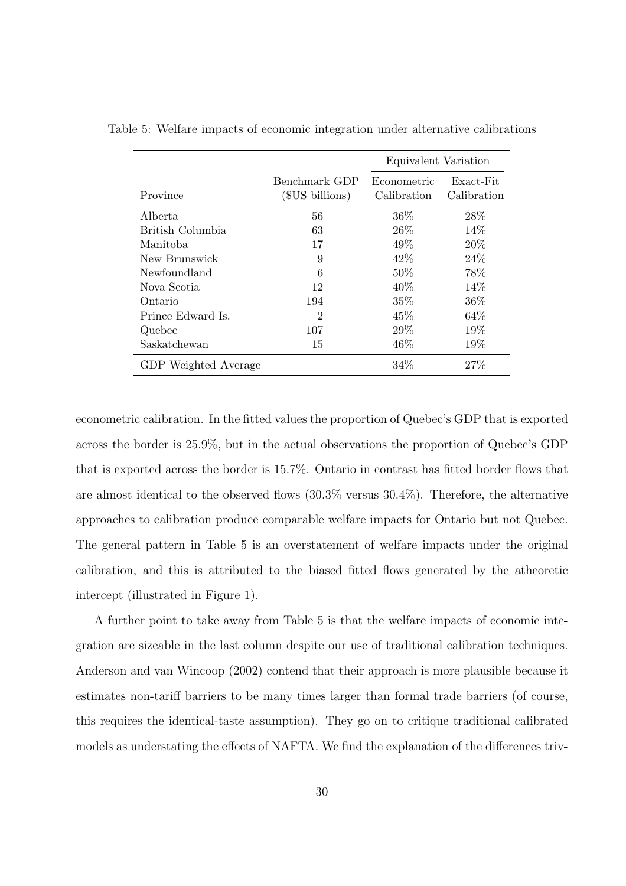|                      |                                  | Equivalent Variation       |                          |  |
|----------------------|----------------------------------|----------------------------|--------------------------|--|
| Province             | Benchmark GDP<br>(\$US billions) | Econometric<br>Calibration | Exact-Fit<br>Calibration |  |
| Alberta              | 56                               | $36\%$                     | 28\%                     |  |
| British Columbia     | 63                               | 26\%                       | 14%                      |  |
| Manitoba             | 17                               | 49\%                       | 20\%                     |  |
| New Brunswick        | 9                                | 42\%                       | 24\%                     |  |
| Newfoundland         | 6                                | 50%                        | 78%                      |  |
| Nova Scotia          | 12                               | $40\%$                     | 14\%                     |  |
| Ontario              | 194                              | 35%                        | 36\%                     |  |
| Prince Edward Is.    | $\overline{2}$                   | 45%                        | 64%                      |  |
| Quebec               | 107                              | 29%                        | 19%                      |  |
| Saskatchewan         | 15                               | 46\%                       | 19%                      |  |
| GDP Weighted Average |                                  | 34%                        | 27%                      |  |

Table 5: Welfare impacts of economic integration under alternative calibrations

econometric calibration. In the fitted values the proportion of Quebec's GDP that is exported across the border is 25.9%, but in the actual observations the proportion of Quebec's GDP that is exported across the border is 15.7%. Ontario in contrast has fitted border flows that are almost identical to the observed flows (30.3% versus 30.4%). Therefore, the alternative approaches to calibration produce comparable welfare impacts for Ontario but not Quebec. The general pattern in Table 5 is an overstatement of welfare impacts under the original calibration, and this is attributed to the biased fitted flows generated by the atheoretic intercept (illustrated in Figure 1).

A further point to take away from Table 5 is that the welfare impacts of economic integration are sizeable in the last column despite our use of traditional calibration techniques. Anderson and van Wincoop (2002) contend that their approach is more plausible because it estimates non-tariff barriers to be many times larger than formal trade barriers (of course, this requires the identical-taste assumption). They go on to critique traditional calibrated models as understating the effects of NAFTA. We find the explanation of the differences triv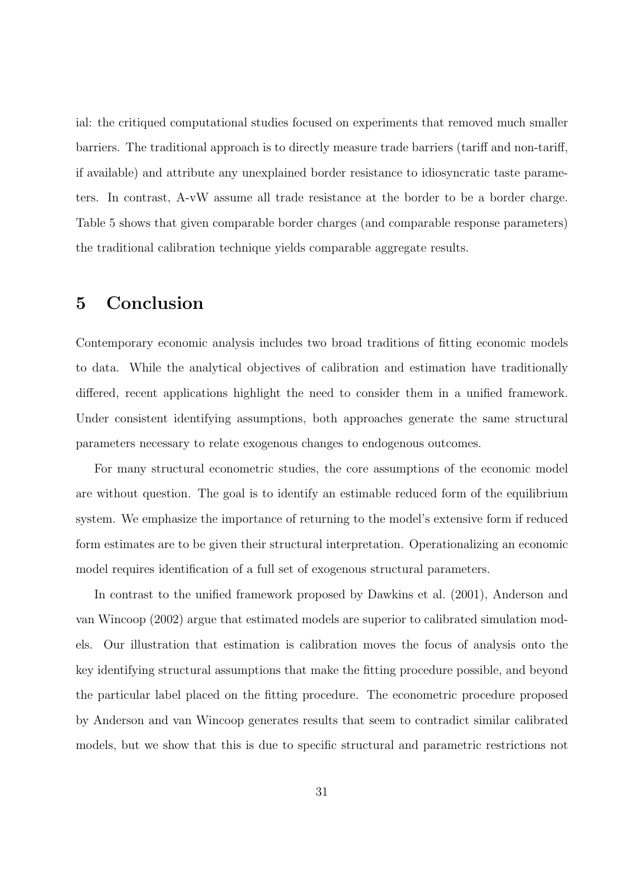ial: the critiqued computational studies focused on experiments that removed much smaller barriers. The traditional approach is to directly measure trade barriers (tariff and non-tariff, if available) and attribute any unexplained border resistance to idiosyncratic taste parameters. In contrast, A-vW assume all trade resistance at the border to be a border charge. Table 5 shows that given comparable border charges (and comparable response parameters) the traditional calibration technique yields comparable aggregate results.

## 5 Conclusion

Contemporary economic analysis includes two broad traditions of fitting economic models to data. While the analytical objectives of calibration and estimation have traditionally differed, recent applications highlight the need to consider them in a unified framework. Under consistent identifying assumptions, both approaches generate the same structural parameters necessary to relate exogenous changes to endogenous outcomes.

For many structural econometric studies, the core assumptions of the economic model are without question. The goal is to identify an estimable reduced form of the equilibrium system. We emphasize the importance of returning to the model's extensive form if reduced form estimates are to be given their structural interpretation. Operationalizing an economic model requires identification of a full set of exogenous structural parameters.

In contrast to the unified framework proposed by Dawkins et al. (2001), Anderson and van Wincoop (2002) argue that estimated models are superior to calibrated simulation models. Our illustration that estimation is calibration moves the focus of analysis onto the key identifying structural assumptions that make the fitting procedure possible, and beyond the particular label placed on the fitting procedure. The econometric procedure proposed by Anderson and van Wincoop generates results that seem to contradict similar calibrated models, but we show that this is due to specific structural and parametric restrictions not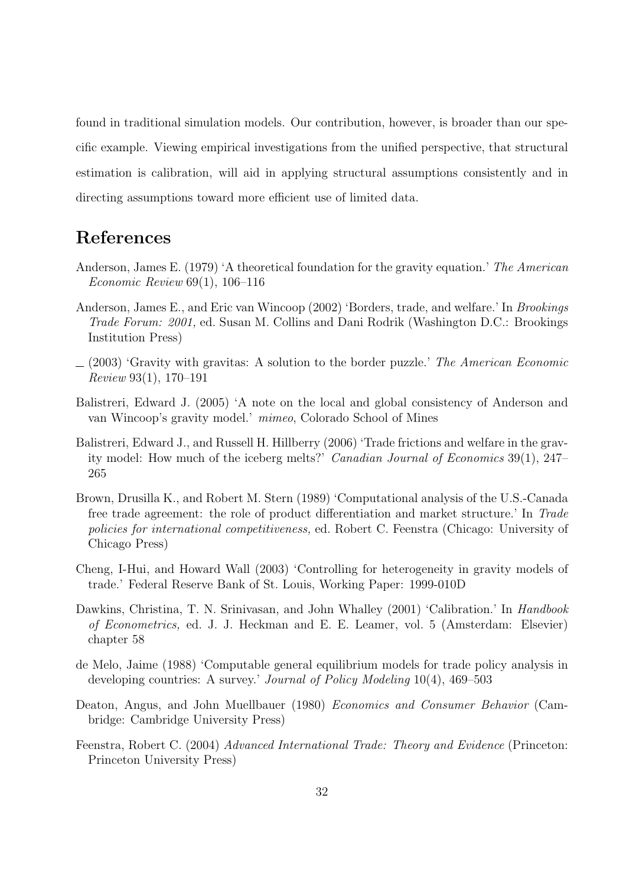found in traditional simulation models. Our contribution, however, is broader than our specific example. Viewing empirical investigations from the unified perspective, that structural estimation is calibration, will aid in applying structural assumptions consistently and in directing assumptions toward more efficient use of limited data.

## References

- Anderson, James E. (1979) 'A theoretical foundation for the gravity equation.' The American Economic Review 69(1), 106–116
- Anderson, James E., and Eric van Wincoop (2002) 'Borders, trade, and welfare.' In Brookings Trade Forum: 2001, ed. Susan M. Collins and Dani Rodrik (Washington D.C.: Brookings Institution Press)
- $(2003)$  'Gravity with gravitas: A solution to the border puzzle.' The American Economic Review 93(1), 170–191
- Balistreri, Edward J. (2005) 'A note on the local and global consistency of Anderson and van Wincoop's gravity model.' mimeo, Colorado School of Mines
- Balistreri, Edward J., and Russell H. Hillberry (2006) 'Trade frictions and welfare in the gravity model: How much of the iceberg melts?' Canadian Journal of Economics 39(1), 247– 265
- Brown, Drusilla K., and Robert M. Stern (1989) 'Computational analysis of the U.S.-Canada free trade agreement: the role of product differentiation and market structure.' In Trade policies for international competitiveness, ed. Robert C. Feenstra (Chicago: University of Chicago Press)
- Cheng, I-Hui, and Howard Wall (2003) 'Controlling for heterogeneity in gravity models of trade.' Federal Reserve Bank of St. Louis, Working Paper: 1999-010D
- Dawkins, Christina, T. N. Srinivasan, and John Whalley (2001) 'Calibration.' In Handbook of Econometrics, ed. J. J. Heckman and E. E. Leamer, vol. 5 (Amsterdam: Elsevier) chapter 58
- de Melo, Jaime (1988) 'Computable general equilibrium models for trade policy analysis in developing countries: A survey.' Journal of Policy Modeling 10(4), 469–503
- Deaton, Angus, and John Muellbauer (1980) Economics and Consumer Behavior (Cambridge: Cambridge University Press)
- Feenstra, Robert C. (2004) Advanced International Trade: Theory and Evidence (Princeton: Princeton University Press)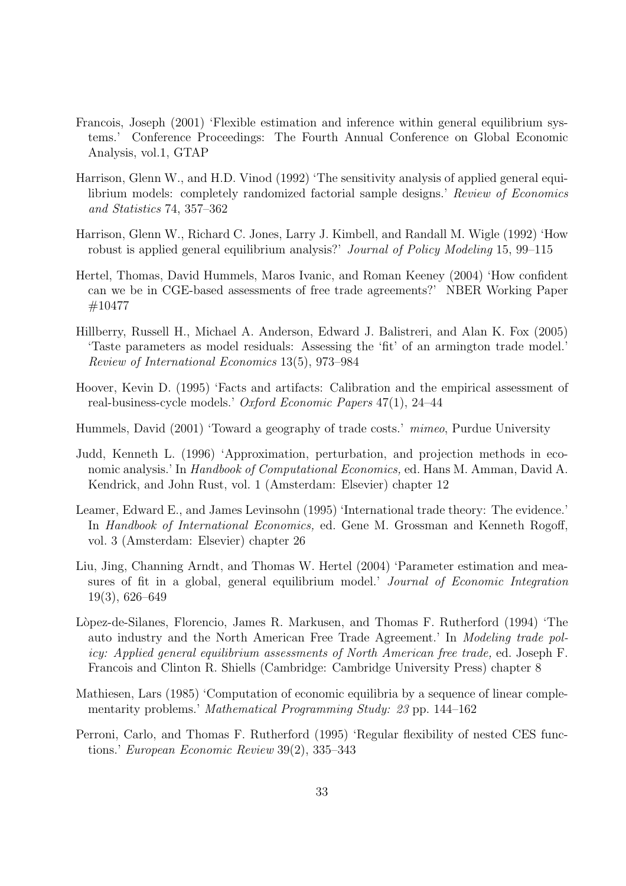- Francois, Joseph (2001) 'Flexible estimation and inference within general equilibrium systems.' Conference Proceedings: The Fourth Annual Conference on Global Economic Analysis, vol.1, GTAP
- Harrison, Glenn W., and H.D. Vinod (1992) 'The sensitivity analysis of applied general equilibrium models: completely randomized factorial sample designs.' Review of Economics and Statistics 74, 357–362
- Harrison, Glenn W., Richard C. Jones, Larry J. Kimbell, and Randall M. Wigle (1992) 'How robust is applied general equilibrium analysis?' Journal of Policy Modeling 15, 99–115
- Hertel, Thomas, David Hummels, Maros Ivanic, and Roman Keeney (2004) 'How confident can we be in CGE-based assessments of free trade agreements?' NBER Working Paper #10477
- Hillberry, Russell H., Michael A. Anderson, Edward J. Balistreri, and Alan K. Fox (2005) 'Taste parameters as model residuals: Assessing the 'fit' of an armington trade model.' Review of International Economics 13(5), 973–984
- Hoover, Kevin D. (1995) 'Facts and artifacts: Calibration and the empirical assessment of real-business-cycle models.' Oxford Economic Papers 47(1), 24–44
- Hummels, David (2001) 'Toward a geography of trade costs.' mimeo, Purdue University
- Judd, Kenneth L. (1996) 'Approximation, perturbation, and projection methods in economic analysis.' In Handbook of Computational Economics, ed. Hans M. Amman, David A. Kendrick, and John Rust, vol. 1 (Amsterdam: Elsevier) chapter 12
- Leamer, Edward E., and James Levinsohn (1995) 'International trade theory: The evidence.' In Handbook of International Economics, ed. Gene M. Grossman and Kenneth Rogoff, vol. 3 (Amsterdam: Elsevier) chapter 26
- Liu, Jing, Channing Arndt, and Thomas W. Hertel (2004) 'Parameter estimation and measures of fit in a global, general equilibrium model.' Journal of Economic Integration 19(3), 626–649
- Lòpez-de-Silanes, Florencio, James R. Markusen, and Thomas F. Rutherford (1994) 'The auto industry and the North American Free Trade Agreement.' In Modeling trade policy: Applied general equilibrium assessments of North American free trade, ed. Joseph F. Francois and Clinton R. Shiells (Cambridge: Cambridge University Press) chapter 8
- Mathiesen, Lars (1985) 'Computation of economic equilibria by a sequence of linear complementarity problems.' Mathematical Programming Study: 23 pp. 144–162
- Perroni, Carlo, and Thomas F. Rutherford (1995) 'Regular flexibility of nested CES functions.' European Economic Review 39(2), 335–343